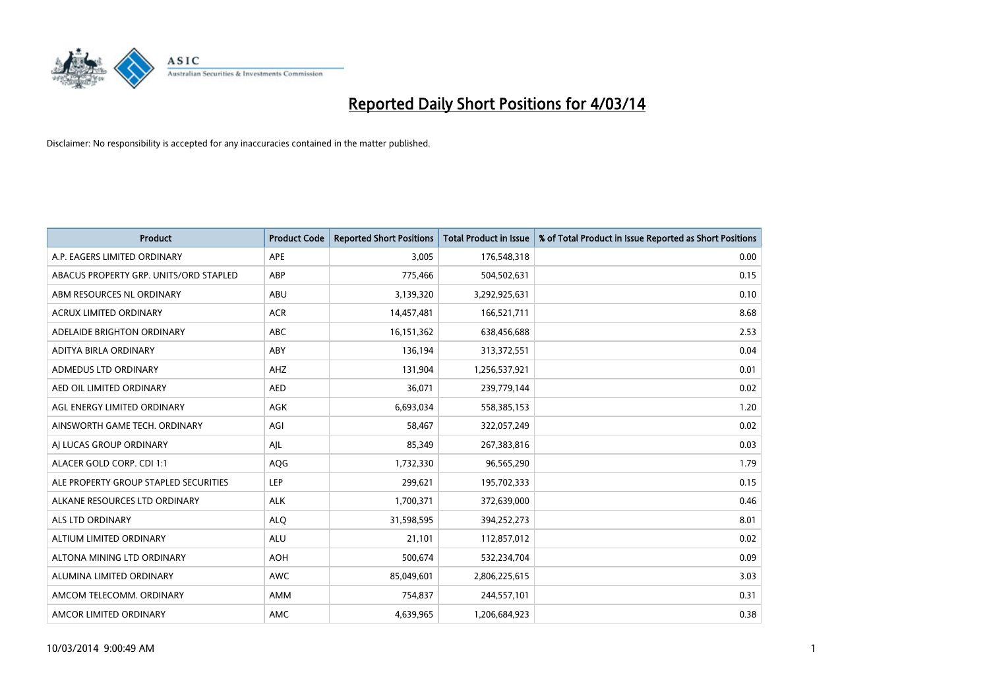

| <b>Product</b>                         | <b>Product Code</b> | <b>Reported Short Positions</b> | <b>Total Product in Issue</b> | % of Total Product in Issue Reported as Short Positions |
|----------------------------------------|---------------------|---------------------------------|-------------------------------|---------------------------------------------------------|
| A.P. EAGERS LIMITED ORDINARY           | APE                 | 3,005                           | 176,548,318                   | 0.00                                                    |
| ABACUS PROPERTY GRP. UNITS/ORD STAPLED | ABP                 | 775,466                         | 504,502,631                   | 0.15                                                    |
| ABM RESOURCES NL ORDINARY              | ABU                 | 3,139,320                       | 3,292,925,631                 | 0.10                                                    |
| ACRUX LIMITED ORDINARY                 | <b>ACR</b>          | 14,457,481                      | 166,521,711                   | 8.68                                                    |
| ADELAIDE BRIGHTON ORDINARY             | <b>ABC</b>          | 16,151,362                      | 638,456,688                   | 2.53                                                    |
| ADITYA BIRLA ORDINARY                  | ABY                 | 136,194                         | 313,372,551                   | 0.04                                                    |
| ADMEDUS LTD ORDINARY                   | AHZ                 | 131,904                         | 1,256,537,921                 | 0.01                                                    |
| AED OIL LIMITED ORDINARY               | <b>AED</b>          | 36,071                          | 239,779,144                   | 0.02                                                    |
| AGL ENERGY LIMITED ORDINARY            | <b>AGK</b>          | 6,693,034                       | 558,385,153                   | 1.20                                                    |
| AINSWORTH GAME TECH. ORDINARY          | AGI                 | 58,467                          | 322,057,249                   | 0.02                                                    |
| AI LUCAS GROUP ORDINARY                | AJL                 | 85,349                          | 267,383,816                   | 0.03                                                    |
| ALACER GOLD CORP. CDI 1:1              | AQG                 | 1,732,330                       | 96,565,290                    | 1.79                                                    |
| ALE PROPERTY GROUP STAPLED SECURITIES  | <b>LEP</b>          | 299,621                         | 195,702,333                   | 0.15                                                    |
| ALKANE RESOURCES LTD ORDINARY          | <b>ALK</b>          | 1,700,371                       | 372,639,000                   | 0.46                                                    |
| ALS LTD ORDINARY                       | <b>ALQ</b>          | 31,598,595                      | 394,252,273                   | 8.01                                                    |
| ALTIUM LIMITED ORDINARY                | <b>ALU</b>          | 21,101                          | 112,857,012                   | 0.02                                                    |
| ALTONA MINING LTD ORDINARY             | <b>AOH</b>          | 500,674                         | 532,234,704                   | 0.09                                                    |
| ALUMINA LIMITED ORDINARY               | <b>AWC</b>          | 85,049,601                      | 2,806,225,615                 | 3.03                                                    |
| AMCOM TELECOMM, ORDINARY               | AMM                 | 754,837                         | 244,557,101                   | 0.31                                                    |
| AMCOR LIMITED ORDINARY                 | AMC                 | 4,639,965                       | 1,206,684,923                 | 0.38                                                    |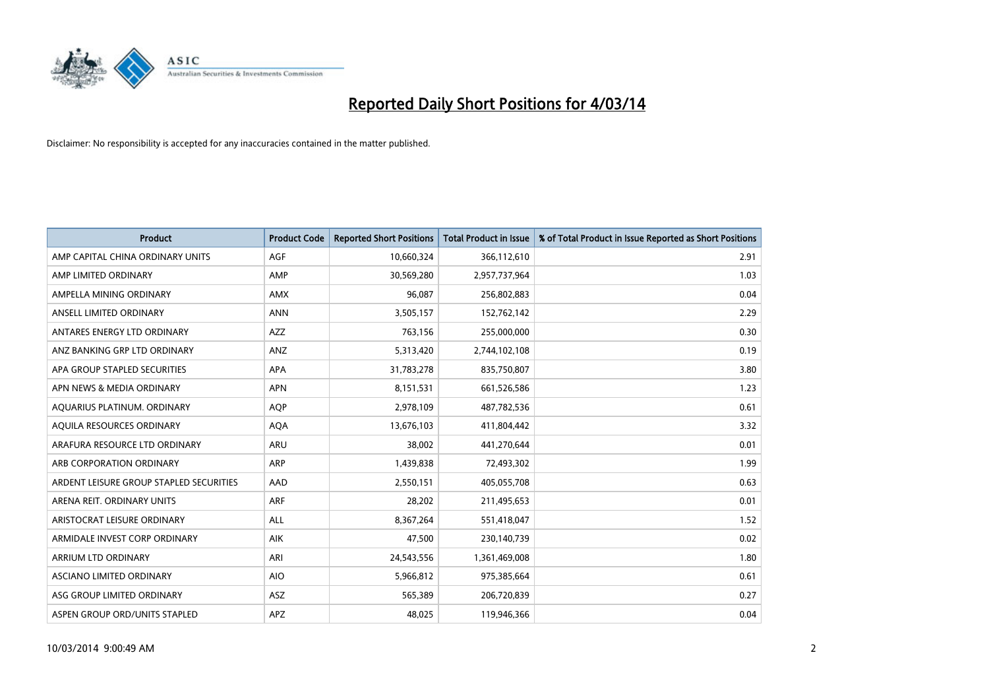

| <b>Product</b>                          | <b>Product Code</b> | <b>Reported Short Positions</b> | <b>Total Product in Issue</b> | % of Total Product in Issue Reported as Short Positions |
|-----------------------------------------|---------------------|---------------------------------|-------------------------------|---------------------------------------------------------|
| AMP CAPITAL CHINA ORDINARY UNITS        | AGF                 | 10,660,324                      | 366,112,610                   | 2.91                                                    |
| AMP LIMITED ORDINARY                    | AMP                 | 30,569,280                      | 2,957,737,964                 | 1.03                                                    |
| AMPELLA MINING ORDINARY                 | AMX                 | 96,087                          | 256,802,883                   | 0.04                                                    |
| ANSELL LIMITED ORDINARY                 | <b>ANN</b>          | 3,505,157                       | 152,762,142                   | 2.29                                                    |
| ANTARES ENERGY LTD ORDINARY             | <b>AZZ</b>          | 763,156                         | 255,000,000                   | 0.30                                                    |
| ANZ BANKING GRP LTD ORDINARY            | ANZ                 | 5,313,420                       | 2,744,102,108                 | 0.19                                                    |
| APA GROUP STAPLED SECURITIES            | APA                 | 31,783,278                      | 835,750,807                   | 3.80                                                    |
| APN NEWS & MEDIA ORDINARY               | <b>APN</b>          | 8,151,531                       | 661,526,586                   | 1.23                                                    |
| AQUARIUS PLATINUM. ORDINARY             | <b>AOP</b>          | 2,978,109                       | 487,782,536                   | 0.61                                                    |
| AQUILA RESOURCES ORDINARY               | <b>AQA</b>          | 13,676,103                      | 411,804,442                   | 3.32                                                    |
| ARAFURA RESOURCE LTD ORDINARY           | ARU                 | 38,002                          | 441,270,644                   | 0.01                                                    |
| ARB CORPORATION ORDINARY                | ARP                 | 1,439,838                       | 72,493,302                    | 1.99                                                    |
| ARDENT LEISURE GROUP STAPLED SECURITIES | AAD                 | 2,550,151                       | 405,055,708                   | 0.63                                                    |
| ARENA REIT. ORDINARY UNITS              | <b>ARF</b>          | 28,202                          | 211,495,653                   | 0.01                                                    |
| ARISTOCRAT LEISURE ORDINARY             | ALL                 | 8,367,264                       | 551,418,047                   | 1.52                                                    |
| ARMIDALE INVEST CORP ORDINARY           | AIK                 | 47,500                          | 230,140,739                   | 0.02                                                    |
| ARRIUM LTD ORDINARY                     | ARI                 | 24,543,556                      | 1,361,469,008                 | 1.80                                                    |
| ASCIANO LIMITED ORDINARY                | <b>AIO</b>          | 5,966,812                       | 975,385,664                   | 0.61                                                    |
| ASG GROUP LIMITED ORDINARY              | <b>ASZ</b>          | 565,389                         | 206,720,839                   | 0.27                                                    |
| ASPEN GROUP ORD/UNITS STAPLED           | <b>APZ</b>          | 48,025                          | 119,946,366                   | 0.04                                                    |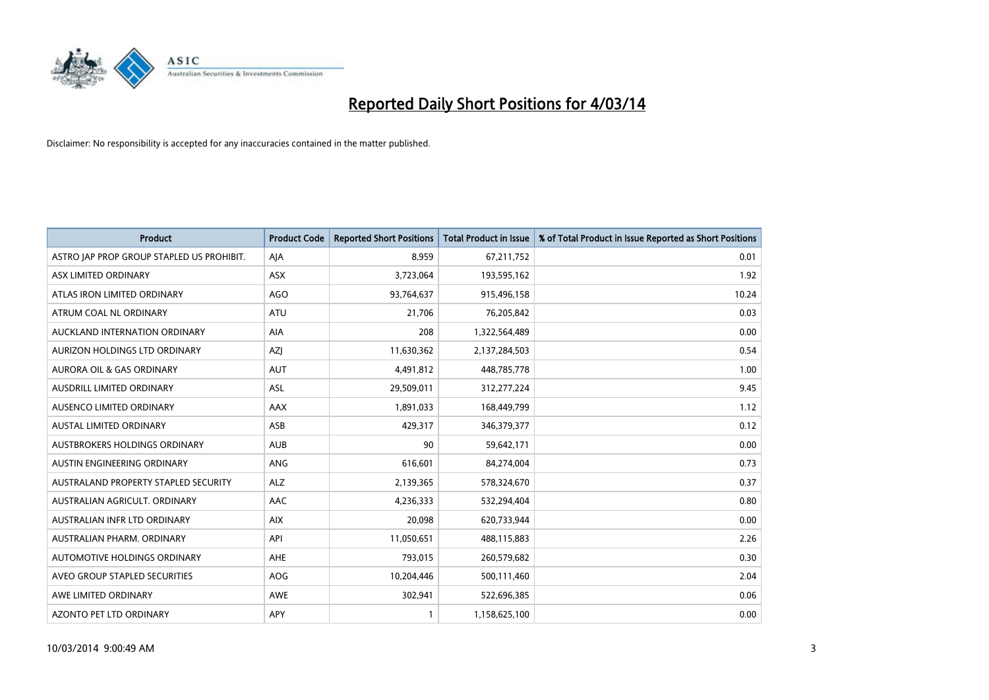

| <b>Product</b>                            | <b>Product Code</b> | <b>Reported Short Positions</b> | <b>Total Product in Issue</b> | % of Total Product in Issue Reported as Short Positions |
|-------------------------------------------|---------------------|---------------------------------|-------------------------------|---------------------------------------------------------|
| ASTRO JAP PROP GROUP STAPLED US PROHIBIT. | AJA                 | 8,959                           | 67,211,752                    | 0.01                                                    |
| ASX LIMITED ORDINARY                      | ASX                 | 3,723,064                       | 193,595,162                   | 1.92                                                    |
| ATLAS IRON LIMITED ORDINARY               | AGO                 | 93,764,637                      | 915,496,158                   | 10.24                                                   |
| ATRUM COAL NL ORDINARY                    | ATU                 | 21,706                          | 76,205,842                    | 0.03                                                    |
| AUCKLAND INTERNATION ORDINARY             | AIA                 | 208                             | 1,322,564,489                 | 0.00                                                    |
| AURIZON HOLDINGS LTD ORDINARY             | AZJ                 | 11,630,362                      | 2,137,284,503                 | 0.54                                                    |
| AURORA OIL & GAS ORDINARY                 | <b>AUT</b>          | 4,491,812                       | 448,785,778                   | 1.00                                                    |
| AUSDRILL LIMITED ORDINARY                 | ASL                 | 29,509,011                      | 312,277,224                   | 9.45                                                    |
| AUSENCO LIMITED ORDINARY                  | AAX                 | 1,891,033                       | 168,449,799                   | 1.12                                                    |
| AUSTAL LIMITED ORDINARY                   | ASB                 | 429,317                         | 346,379,377                   | 0.12                                                    |
| AUSTBROKERS HOLDINGS ORDINARY             | <b>AUB</b>          | 90                              | 59,642,171                    | 0.00                                                    |
| AUSTIN ENGINEERING ORDINARY               | <b>ANG</b>          | 616,601                         | 84,274,004                    | 0.73                                                    |
| AUSTRALAND PROPERTY STAPLED SECURITY      | <b>ALZ</b>          | 2,139,365                       | 578,324,670                   | 0.37                                                    |
| AUSTRALIAN AGRICULT, ORDINARY             | AAC                 | 4,236,333                       | 532,294,404                   | 0.80                                                    |
| AUSTRALIAN INFR LTD ORDINARY              | <b>AIX</b>          | 20,098                          | 620,733,944                   | 0.00                                                    |
| AUSTRALIAN PHARM, ORDINARY                | API                 | 11,050,651                      | 488,115,883                   | 2.26                                                    |
| AUTOMOTIVE HOLDINGS ORDINARY              | AHE                 | 793,015                         | 260,579,682                   | 0.30                                                    |
| AVEO GROUP STAPLED SECURITIES             | AOG                 | 10,204,446                      | 500,111,460                   | 2.04                                                    |
| AWE LIMITED ORDINARY                      | AWE                 | 302,941                         | 522,696,385                   | 0.06                                                    |
| AZONTO PET LTD ORDINARY                   | APY                 |                                 | 1,158,625,100                 | 0.00                                                    |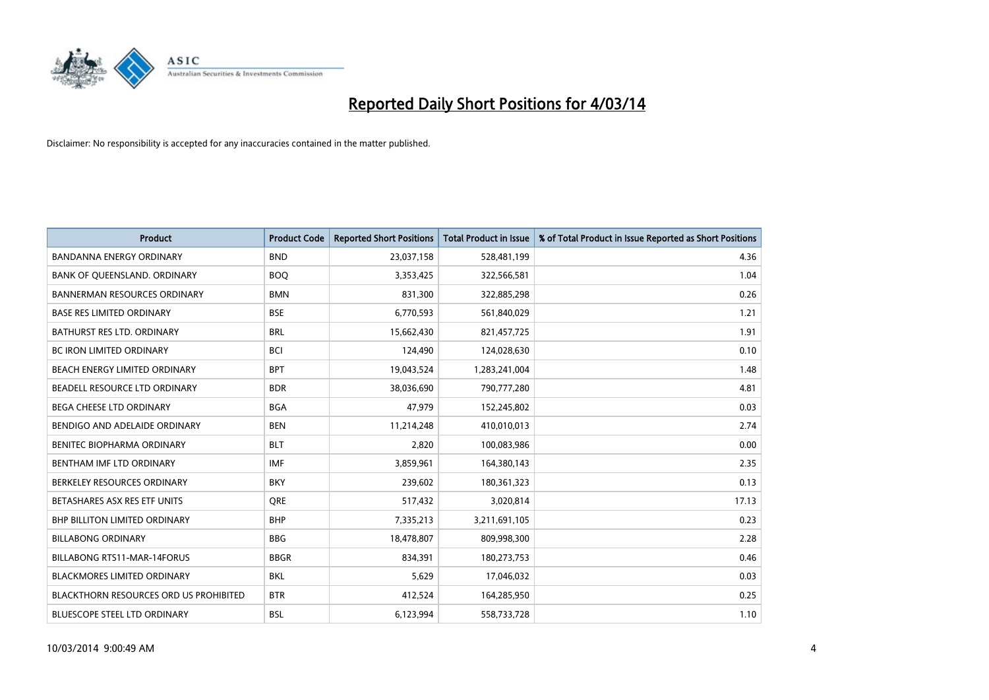

| <b>Product</b>                                | <b>Product Code</b> | <b>Reported Short Positions</b> | <b>Total Product in Issue</b> | % of Total Product in Issue Reported as Short Positions |
|-----------------------------------------------|---------------------|---------------------------------|-------------------------------|---------------------------------------------------------|
| <b>BANDANNA ENERGY ORDINARY</b>               | <b>BND</b>          | 23,037,158                      | 528,481,199                   | 4.36                                                    |
| BANK OF QUEENSLAND. ORDINARY                  | <b>BOQ</b>          | 3,353,425                       | 322,566,581                   | 1.04                                                    |
| <b>BANNERMAN RESOURCES ORDINARY</b>           | <b>BMN</b>          | 831,300                         | 322,885,298                   | 0.26                                                    |
| <b>BASE RES LIMITED ORDINARY</b>              | <b>BSE</b>          | 6,770,593                       | 561,840,029                   | 1.21                                                    |
| <b>BATHURST RES LTD. ORDINARY</b>             | <b>BRL</b>          | 15,662,430                      | 821,457,725                   | 1.91                                                    |
| <b>BC IRON LIMITED ORDINARY</b>               | <b>BCI</b>          | 124,490                         | 124,028,630                   | 0.10                                                    |
| BEACH ENERGY LIMITED ORDINARY                 | <b>BPT</b>          | 19,043,524                      | 1,283,241,004                 | 1.48                                                    |
| BEADELL RESOURCE LTD ORDINARY                 | <b>BDR</b>          | 38,036,690                      | 790,777,280                   | 4.81                                                    |
| BEGA CHEESE LTD ORDINARY                      | <b>BGA</b>          | 47,979                          | 152,245,802                   | 0.03                                                    |
| BENDIGO AND ADELAIDE ORDINARY                 | <b>BEN</b>          | 11,214,248                      | 410,010,013                   | 2.74                                                    |
| BENITEC BIOPHARMA ORDINARY                    | <b>BLT</b>          | 2,820                           | 100,083,986                   | 0.00                                                    |
| BENTHAM IMF LTD ORDINARY                      | <b>IMF</b>          | 3,859,961                       | 164,380,143                   | 2.35                                                    |
| BERKELEY RESOURCES ORDINARY                   | <b>BKY</b>          | 239,602                         | 180,361,323                   | 0.13                                                    |
| BETASHARES ASX RES ETF UNITS                  | <b>ORE</b>          | 517,432                         | 3,020,814                     | 17.13                                                   |
| BHP BILLITON LIMITED ORDINARY                 | <b>BHP</b>          | 7,335,213                       | 3,211,691,105                 | 0.23                                                    |
| <b>BILLABONG ORDINARY</b>                     | <b>BBG</b>          | 18,478,807                      | 809,998,300                   | 2.28                                                    |
| BILLABONG RTS11-MAR-14FORUS                   | <b>BBGR</b>         | 834,391                         | 180,273,753                   | 0.46                                                    |
| <b>BLACKMORES LIMITED ORDINARY</b>            | <b>BKL</b>          | 5,629                           | 17,046,032                    | 0.03                                                    |
| <b>BLACKTHORN RESOURCES ORD US PROHIBITED</b> | <b>BTR</b>          | 412,524                         | 164,285,950                   | 0.25                                                    |
| <b>BLUESCOPE STEEL LTD ORDINARY</b>           | <b>BSL</b>          | 6,123,994                       | 558,733,728                   | 1.10                                                    |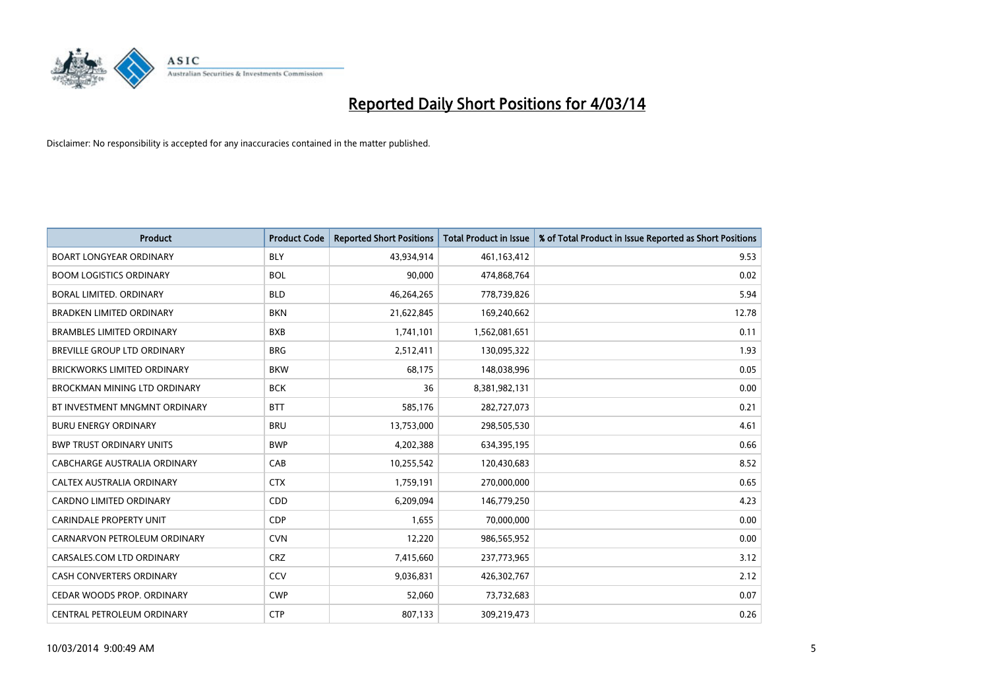

| <b>Product</b>                     | <b>Product Code</b> | <b>Reported Short Positions</b> | Total Product in Issue | % of Total Product in Issue Reported as Short Positions |
|------------------------------------|---------------------|---------------------------------|------------------------|---------------------------------------------------------|
| <b>BOART LONGYEAR ORDINARY</b>     | <b>BLY</b>          | 43,934,914                      | 461,163,412            | 9.53                                                    |
| <b>BOOM LOGISTICS ORDINARY</b>     | <b>BOL</b>          | 90,000                          | 474,868,764            | 0.02                                                    |
| BORAL LIMITED, ORDINARY            | <b>BLD</b>          | 46,264,265                      | 778,739,826            | 5.94                                                    |
| BRADKEN LIMITED ORDINARY           | <b>BKN</b>          | 21,622,845                      | 169,240,662            | 12.78                                                   |
| <b>BRAMBLES LIMITED ORDINARY</b>   | <b>BXB</b>          | 1,741,101                       | 1,562,081,651          | 0.11                                                    |
| BREVILLE GROUP LTD ORDINARY        | <b>BRG</b>          | 2,512,411                       | 130,095,322            | 1.93                                                    |
| <b>BRICKWORKS LIMITED ORDINARY</b> | <b>BKW</b>          | 68,175                          | 148,038,996            | 0.05                                                    |
| BROCKMAN MINING LTD ORDINARY       | <b>BCK</b>          | 36                              | 8,381,982,131          | 0.00                                                    |
| BT INVESTMENT MNGMNT ORDINARY      | <b>BTT</b>          | 585,176                         | 282,727,073            | 0.21                                                    |
| <b>BURU ENERGY ORDINARY</b>        | <b>BRU</b>          | 13,753,000                      | 298,505,530            | 4.61                                                    |
| <b>BWP TRUST ORDINARY UNITS</b>    | <b>BWP</b>          | 4,202,388                       | 634,395,195            | 0.66                                                    |
| CABCHARGE AUSTRALIA ORDINARY       | CAB                 | 10,255,542                      | 120,430,683            | 8.52                                                    |
| CALTEX AUSTRALIA ORDINARY          | <b>CTX</b>          | 1,759,191                       | 270,000,000            | 0.65                                                    |
| <b>CARDNO LIMITED ORDINARY</b>     | CDD                 | 6,209,094                       | 146,779,250            | 4.23                                                    |
| <b>CARINDALE PROPERTY UNIT</b>     | <b>CDP</b>          | 1,655                           | 70,000,000             | 0.00                                                    |
| CARNARVON PETROLEUM ORDINARY       | <b>CVN</b>          | 12,220                          | 986,565,952            | 0.00                                                    |
| CARSALES.COM LTD ORDINARY          | <b>CRZ</b>          | 7,415,660                       | 237,773,965            | 3.12                                                    |
| CASH CONVERTERS ORDINARY           | CCV                 | 9,036,831                       | 426,302,767            | 2.12                                                    |
| CEDAR WOODS PROP. ORDINARY         | <b>CWP</b>          | 52,060                          | 73,732,683             | 0.07                                                    |
| CENTRAL PETROLEUM ORDINARY         | <b>CTP</b>          | 807,133                         | 309,219,473            | 0.26                                                    |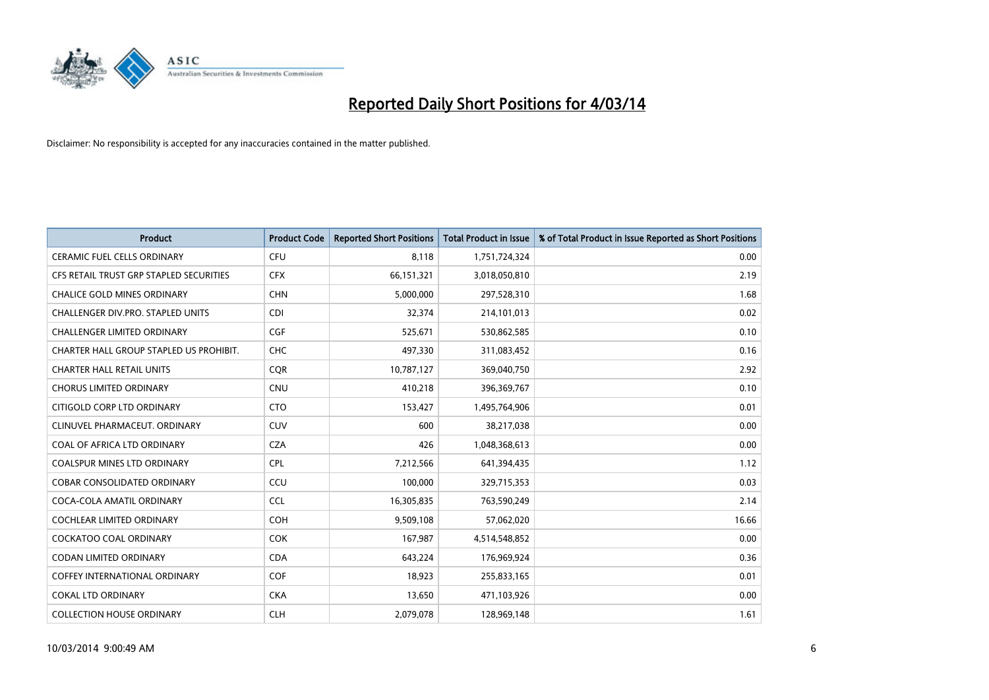

| <b>Product</b>                           | <b>Product Code</b> | <b>Reported Short Positions</b> | <b>Total Product in Issue</b> | % of Total Product in Issue Reported as Short Positions |
|------------------------------------------|---------------------|---------------------------------|-------------------------------|---------------------------------------------------------|
| <b>CERAMIC FUEL CELLS ORDINARY</b>       | <b>CFU</b>          | 8,118                           | 1,751,724,324                 | 0.00                                                    |
| CFS RETAIL TRUST GRP STAPLED SECURITIES  | <b>CFX</b>          | 66,151,321                      | 3,018,050,810                 | 2.19                                                    |
| <b>CHALICE GOLD MINES ORDINARY</b>       | <b>CHN</b>          | 5,000,000                       | 297,528,310                   | 1.68                                                    |
| <b>CHALLENGER DIV.PRO. STAPLED UNITS</b> | <b>CDI</b>          | 32,374                          | 214,101,013                   | 0.02                                                    |
| <b>CHALLENGER LIMITED ORDINARY</b>       | <b>CGF</b>          | 525,671                         | 530,862,585                   | 0.10                                                    |
| CHARTER HALL GROUP STAPLED US PROHIBIT.  | <b>CHC</b>          | 497,330                         | 311,083,452                   | 0.16                                                    |
| <b>CHARTER HALL RETAIL UNITS</b>         | <b>CQR</b>          | 10,787,127                      | 369,040,750                   | 2.92                                                    |
| <b>CHORUS LIMITED ORDINARY</b>           | <b>CNU</b>          | 410,218                         | 396,369,767                   | 0.10                                                    |
| CITIGOLD CORP LTD ORDINARY               | <b>CTO</b>          | 153,427                         | 1,495,764,906                 | 0.01                                                    |
| CLINUVEL PHARMACEUT, ORDINARY            | <b>CUV</b>          | 600                             | 38,217,038                    | 0.00                                                    |
| COAL OF AFRICA LTD ORDINARY              | <b>CZA</b>          | 426                             | 1,048,368,613                 | 0.00                                                    |
| <b>COALSPUR MINES LTD ORDINARY</b>       | <b>CPL</b>          | 7,212,566                       | 641,394,435                   | 1.12                                                    |
| <b>COBAR CONSOLIDATED ORDINARY</b>       | <b>CCU</b>          | 100,000                         | 329,715,353                   | 0.03                                                    |
| COCA-COLA AMATIL ORDINARY                | <b>CCL</b>          | 16,305,835                      | 763,590,249                   | 2.14                                                    |
| COCHLEAR LIMITED ORDINARY                | <b>COH</b>          | 9,509,108                       | 57,062,020                    | 16.66                                                   |
| <b>COCKATOO COAL ORDINARY</b>            | COK                 | 167,987                         | 4,514,548,852                 | 0.00                                                    |
| <b>CODAN LIMITED ORDINARY</b>            | <b>CDA</b>          | 643,224                         | 176,969,924                   | 0.36                                                    |
| <b>COFFEY INTERNATIONAL ORDINARY</b>     | <b>COF</b>          | 18,923                          | 255,833,165                   | 0.01                                                    |
| <b>COKAL LTD ORDINARY</b>                | <b>CKA</b>          | 13,650                          | 471,103,926                   | 0.00                                                    |
| <b>COLLECTION HOUSE ORDINARY</b>         | <b>CLH</b>          | 2.079.078                       | 128,969,148                   | 1.61                                                    |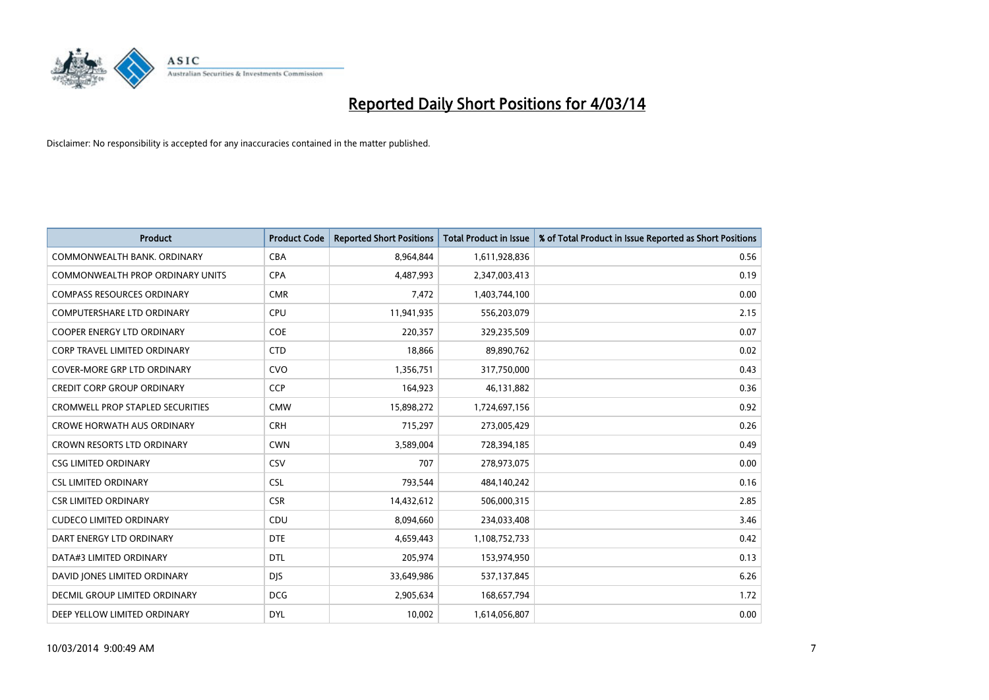

| <b>Product</b>                          | <b>Product Code</b> | <b>Reported Short Positions</b> | <b>Total Product in Issue</b> | % of Total Product in Issue Reported as Short Positions |
|-----------------------------------------|---------------------|---------------------------------|-------------------------------|---------------------------------------------------------|
| COMMONWEALTH BANK, ORDINARY             | <b>CBA</b>          | 8,964,844                       | 1,611,928,836                 | 0.56                                                    |
| COMMONWEALTH PROP ORDINARY UNITS        | <b>CPA</b>          | 4,487,993                       | 2,347,003,413                 | 0.19                                                    |
| <b>COMPASS RESOURCES ORDINARY</b>       | <b>CMR</b>          | 7,472                           | 1,403,744,100                 | 0.00                                                    |
| <b>COMPUTERSHARE LTD ORDINARY</b>       | <b>CPU</b>          | 11,941,935                      | 556,203,079                   | 2.15                                                    |
| <b>COOPER ENERGY LTD ORDINARY</b>       | <b>COE</b>          | 220,357                         | 329,235,509                   | 0.07                                                    |
| <b>CORP TRAVEL LIMITED ORDINARY</b>     | <b>CTD</b>          | 18,866                          | 89,890,762                    | 0.02                                                    |
| COVER-MORE GRP LTD ORDINARY             | <b>CVO</b>          | 1,356,751                       | 317,750,000                   | 0.43                                                    |
| <b>CREDIT CORP GROUP ORDINARY</b>       | <b>CCP</b>          | 164,923                         | 46,131,882                    | 0.36                                                    |
| <b>CROMWELL PROP STAPLED SECURITIES</b> | <b>CMW</b>          | 15,898,272                      | 1,724,697,156                 | 0.92                                                    |
| <b>CROWE HORWATH AUS ORDINARY</b>       | <b>CRH</b>          | 715,297                         | 273,005,429                   | 0.26                                                    |
| CROWN RESORTS LTD ORDINARY              | <b>CWN</b>          | 3,589,004                       | 728,394,185                   | 0.49                                                    |
| <b>CSG LIMITED ORDINARY</b>             | CSV                 | 707                             | 278,973,075                   | 0.00                                                    |
| <b>CSL LIMITED ORDINARY</b>             | <b>CSL</b>          | 793,544                         | 484,140,242                   | 0.16                                                    |
| <b>CSR LIMITED ORDINARY</b>             | <b>CSR</b>          | 14,432,612                      | 506,000,315                   | 2.85                                                    |
| <b>CUDECO LIMITED ORDINARY</b>          | CDU                 | 8,094,660                       | 234,033,408                   | 3.46                                                    |
| DART ENERGY LTD ORDINARY                | <b>DTE</b>          | 4,659,443                       | 1,108,752,733                 | 0.42                                                    |
| DATA#3 LIMITED ORDINARY                 | DTL                 | 205,974                         | 153,974,950                   | 0.13                                                    |
| DAVID JONES LIMITED ORDINARY            | <b>DJS</b>          | 33,649,986                      | 537,137,845                   | 6.26                                                    |
| DECMIL GROUP LIMITED ORDINARY           | <b>DCG</b>          | 2,905,634                       | 168,657,794                   | 1.72                                                    |
| DEEP YELLOW LIMITED ORDINARY            | <b>DYL</b>          | 10,002                          | 1,614,056,807                 | 0.00                                                    |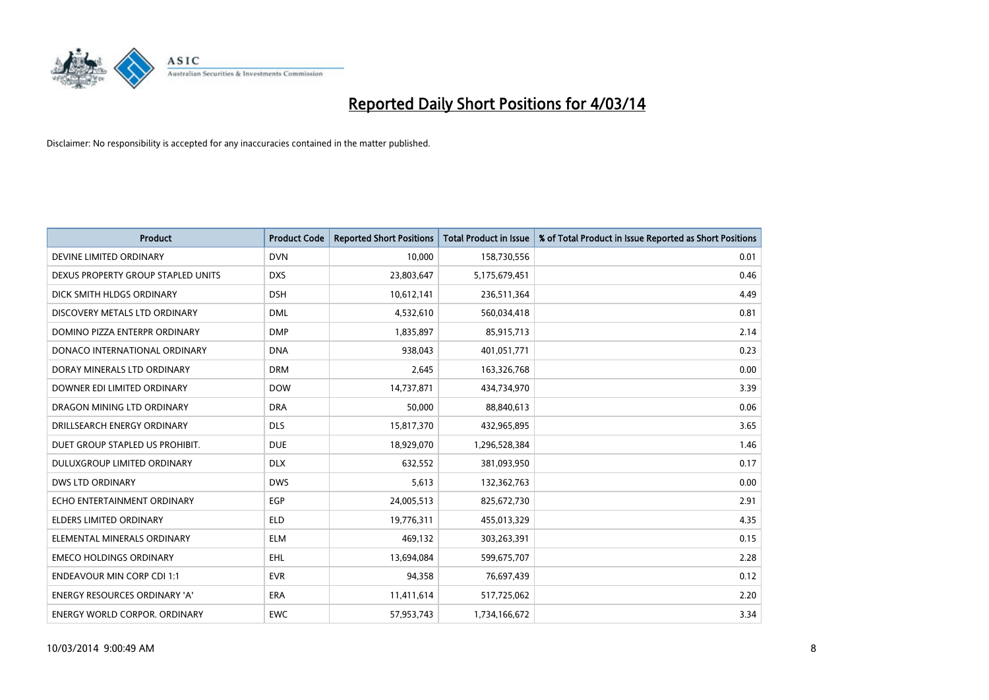

| <b>Product</b>                       | <b>Product Code</b> | <b>Reported Short Positions</b> | <b>Total Product in Issue</b> | % of Total Product in Issue Reported as Short Positions |
|--------------------------------------|---------------------|---------------------------------|-------------------------------|---------------------------------------------------------|
| DEVINE LIMITED ORDINARY              | <b>DVN</b>          | 10,000                          | 158,730,556                   | 0.01                                                    |
| DEXUS PROPERTY GROUP STAPLED UNITS   | <b>DXS</b>          | 23,803,647                      | 5,175,679,451                 | 0.46                                                    |
| DICK SMITH HLDGS ORDINARY            | <b>DSH</b>          | 10,612,141                      | 236,511,364                   | 4.49                                                    |
| DISCOVERY METALS LTD ORDINARY        | <b>DML</b>          | 4,532,610                       | 560,034,418                   | 0.81                                                    |
| DOMINO PIZZA ENTERPR ORDINARY        | <b>DMP</b>          | 1,835,897                       | 85,915,713                    | 2.14                                                    |
| DONACO INTERNATIONAL ORDINARY        | <b>DNA</b>          | 938,043                         | 401,051,771                   | 0.23                                                    |
| DORAY MINERALS LTD ORDINARY          | <b>DRM</b>          | 2,645                           | 163,326,768                   | 0.00                                                    |
| DOWNER EDI LIMITED ORDINARY          | <b>DOW</b>          | 14,737,871                      | 434,734,970                   | 3.39                                                    |
| DRAGON MINING LTD ORDINARY           | <b>DRA</b>          | 50.000                          | 88,840,613                    | 0.06                                                    |
| DRILLSEARCH ENERGY ORDINARY          | <b>DLS</b>          | 15,817,370                      | 432,965,895                   | 3.65                                                    |
| DUET GROUP STAPLED US PROHIBIT.      | <b>DUE</b>          | 18,929,070                      | 1,296,528,384                 | 1.46                                                    |
| DULUXGROUP LIMITED ORDINARY          | <b>DLX</b>          | 632,552                         | 381,093,950                   | 0.17                                                    |
| DWS LTD ORDINARY                     | <b>DWS</b>          | 5,613                           | 132,362,763                   | 0.00                                                    |
| ECHO ENTERTAINMENT ORDINARY          | EGP                 | 24,005,513                      | 825,672,730                   | 2.91                                                    |
| <b>ELDERS LIMITED ORDINARY</b>       | <b>ELD</b>          | 19,776,311                      | 455,013,329                   | 4.35                                                    |
| ELEMENTAL MINERALS ORDINARY          | <b>ELM</b>          | 469,132                         | 303,263,391                   | 0.15                                                    |
| <b>EMECO HOLDINGS ORDINARY</b>       | <b>EHL</b>          | 13,694,084                      | 599,675,707                   | 2.28                                                    |
| <b>ENDEAVOUR MIN CORP CDI 1:1</b>    | <b>EVR</b>          | 94,358                          | 76,697,439                    | 0.12                                                    |
| <b>ENERGY RESOURCES ORDINARY 'A'</b> | <b>ERA</b>          | 11,411,614                      | 517,725,062                   | 2.20                                                    |
| <b>ENERGY WORLD CORPOR. ORDINARY</b> | <b>EWC</b>          | 57,953,743                      | 1,734,166,672                 | 3.34                                                    |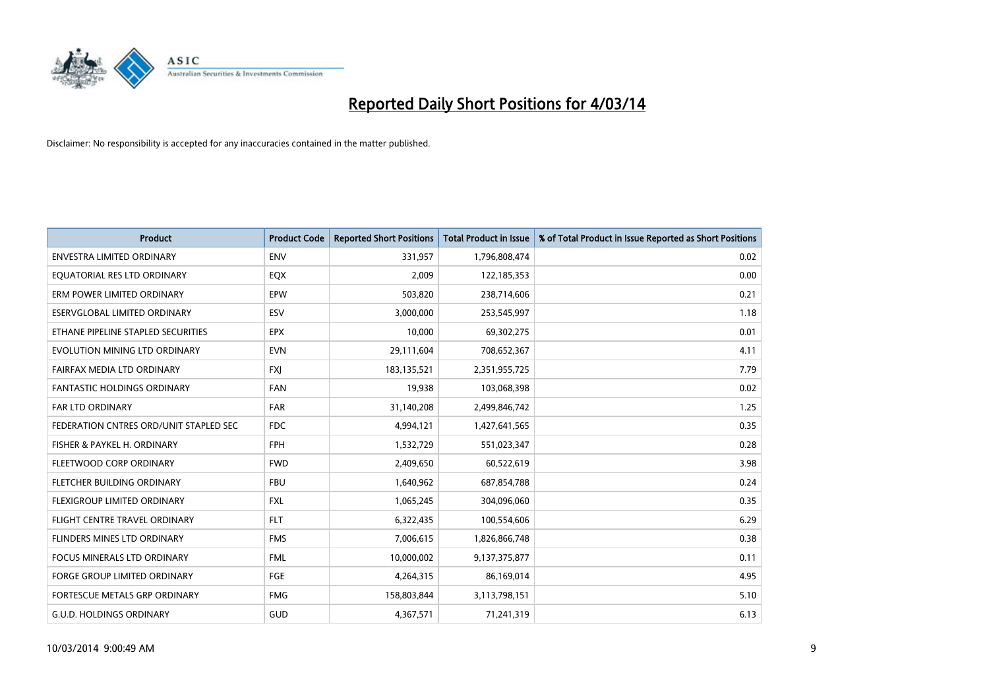

| <b>Product</b>                         | <b>Product Code</b> | <b>Reported Short Positions</b> | <b>Total Product in Issue</b> | % of Total Product in Issue Reported as Short Positions |
|----------------------------------------|---------------------|---------------------------------|-------------------------------|---------------------------------------------------------|
| <b>ENVESTRA LIMITED ORDINARY</b>       | <b>ENV</b>          | 331,957                         | 1,796,808,474                 | 0.02                                                    |
| EQUATORIAL RES LTD ORDINARY            | EQX                 | 2,009                           | 122,185,353                   | 0.00                                                    |
| ERM POWER LIMITED ORDINARY             | EPW                 | 503,820                         | 238,714,606                   | 0.21                                                    |
| ESERVGLOBAL LIMITED ORDINARY           | ESV                 | 3,000,000                       | 253,545,997                   | 1.18                                                    |
| ETHANE PIPELINE STAPLED SECURITIES     | <b>EPX</b>          | 10,000                          | 69,302,275                    | 0.01                                                    |
| EVOLUTION MINING LTD ORDINARY          | <b>EVN</b>          | 29,111,604                      | 708,652,367                   | 4.11                                                    |
| FAIRFAX MEDIA LTD ORDINARY             | <b>FXI</b>          | 183,135,521                     | 2,351,955,725                 | 7.79                                                    |
| FANTASTIC HOLDINGS ORDINARY            | <b>FAN</b>          | 19,938                          | 103,068,398                   | 0.02                                                    |
| <b>FAR LTD ORDINARY</b>                | <b>FAR</b>          | 31,140,208                      | 2,499,846,742                 | 1.25                                                    |
| FEDERATION CNTRES ORD/UNIT STAPLED SEC | FDC                 | 4,994,121                       | 1,427,641,565                 | 0.35                                                    |
| FISHER & PAYKEL H. ORDINARY            | <b>FPH</b>          | 1,532,729                       | 551,023,347                   | 0.28                                                    |
| FLEETWOOD CORP ORDINARY                | <b>FWD</b>          | 2,409,650                       | 60,522,619                    | 3.98                                                    |
| FLETCHER BUILDING ORDINARY             | <b>FBU</b>          | 1,640,962                       | 687,854,788                   | 0.24                                                    |
| FLEXIGROUP LIMITED ORDINARY            | <b>FXL</b>          | 1,065,245                       | 304,096,060                   | 0.35                                                    |
| FLIGHT CENTRE TRAVEL ORDINARY          | <b>FLT</b>          | 6,322,435                       | 100,554,606                   | 6.29                                                    |
| FLINDERS MINES LTD ORDINARY            | <b>FMS</b>          | 7,006,615                       | 1,826,866,748                 | 0.38                                                    |
| FOCUS MINERALS LTD ORDINARY            | <b>FML</b>          | 10,000,002                      | 9,137,375,877                 | 0.11                                                    |
| FORGE GROUP LIMITED ORDINARY           | FGE                 | 4,264,315                       | 86,169,014                    | 4.95                                                    |
| FORTESCUE METALS GRP ORDINARY          | <b>FMG</b>          | 158,803,844                     | 3,113,798,151                 | 5.10                                                    |
| <b>G.U.D. HOLDINGS ORDINARY</b>        | GUD                 | 4,367,571                       | 71,241,319                    | 6.13                                                    |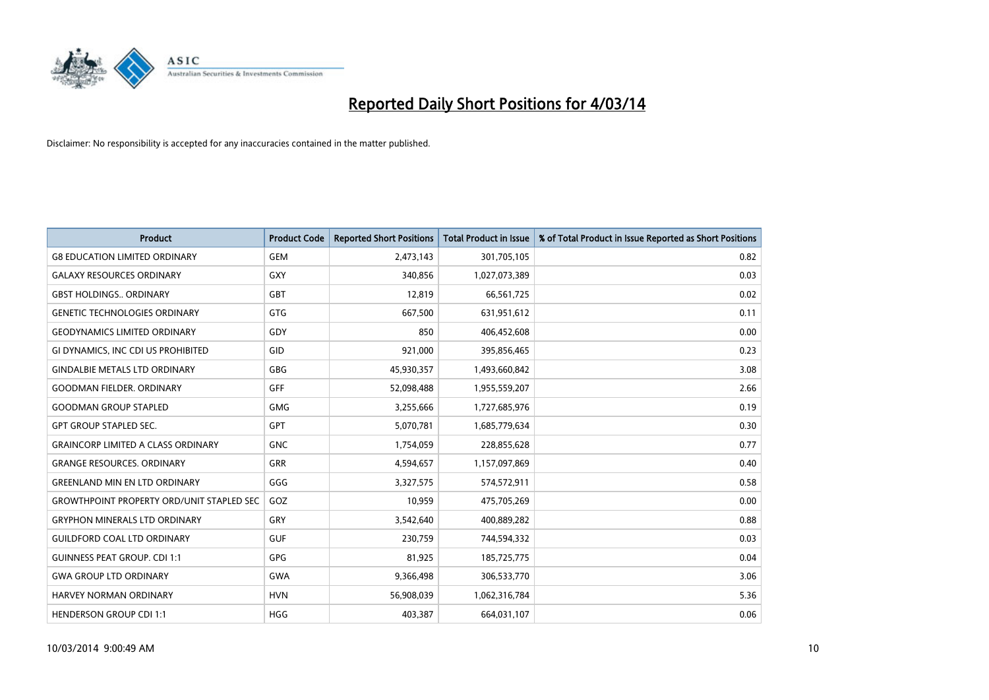

| <b>Product</b>                                   | <b>Product Code</b> | <b>Reported Short Positions</b> | <b>Total Product in Issue</b> | % of Total Product in Issue Reported as Short Positions |
|--------------------------------------------------|---------------------|---------------------------------|-------------------------------|---------------------------------------------------------|
| <b>G8 EDUCATION LIMITED ORDINARY</b>             | <b>GEM</b>          | 2,473,143                       | 301,705,105                   | 0.82                                                    |
| <b>GALAXY RESOURCES ORDINARY</b>                 | <b>GXY</b>          | 340,856                         | 1,027,073,389                 | 0.03                                                    |
| <b>GBST HOLDINGS ORDINARY</b>                    | <b>GBT</b>          | 12,819                          | 66,561,725                    | 0.02                                                    |
| <b>GENETIC TECHNOLOGIES ORDINARY</b>             | GTG                 | 667,500                         | 631,951,612                   | 0.11                                                    |
| <b>GEODYNAMICS LIMITED ORDINARY</b>              | GDY                 | 850                             | 406,452,608                   | 0.00                                                    |
| GI DYNAMICS, INC CDI US PROHIBITED               | GID                 | 921,000                         | 395,856,465                   | 0.23                                                    |
| <b>GINDALBIE METALS LTD ORDINARY</b>             | GBG                 | 45,930,357                      | 1,493,660,842                 | 3.08                                                    |
| <b>GOODMAN FIELDER. ORDINARY</b>                 | <b>GFF</b>          | 52,098,488                      | 1,955,559,207                 | 2.66                                                    |
| <b>GOODMAN GROUP STAPLED</b>                     | <b>GMG</b>          | 3,255,666                       | 1,727,685,976                 | 0.19                                                    |
| <b>GPT GROUP STAPLED SEC.</b>                    | <b>GPT</b>          | 5,070,781                       | 1,685,779,634                 | 0.30                                                    |
| <b>GRAINCORP LIMITED A CLASS ORDINARY</b>        | <b>GNC</b>          | 1,754,059                       | 228,855,628                   | 0.77                                                    |
| <b>GRANGE RESOURCES. ORDINARY</b>                | GRR                 | 4,594,657                       | 1,157,097,869                 | 0.40                                                    |
| <b>GREENLAND MIN EN LTD ORDINARY</b>             | GGG                 | 3,327,575                       | 574,572,911                   | 0.58                                                    |
| <b>GROWTHPOINT PROPERTY ORD/UNIT STAPLED SEC</b> | GOZ                 | 10,959                          | 475,705,269                   | 0.00                                                    |
| <b>GRYPHON MINERALS LTD ORDINARY</b>             | GRY                 | 3,542,640                       | 400,889,282                   | 0.88                                                    |
| <b>GUILDFORD COAL LTD ORDINARY</b>               | <b>GUF</b>          | 230,759                         | 744,594,332                   | 0.03                                                    |
| <b>GUINNESS PEAT GROUP. CDI 1:1</b>              | GPG                 | 81,925                          | 185,725,775                   | 0.04                                                    |
| <b>GWA GROUP LTD ORDINARY</b>                    | <b>GWA</b>          | 9,366,498                       | 306,533,770                   | 3.06                                                    |
| <b>HARVEY NORMAN ORDINARY</b>                    | <b>HVN</b>          | 56,908,039                      | 1,062,316,784                 | 5.36                                                    |
| <b>HENDERSON GROUP CDI 1:1</b>                   | <b>HGG</b>          | 403,387                         | 664,031,107                   | 0.06                                                    |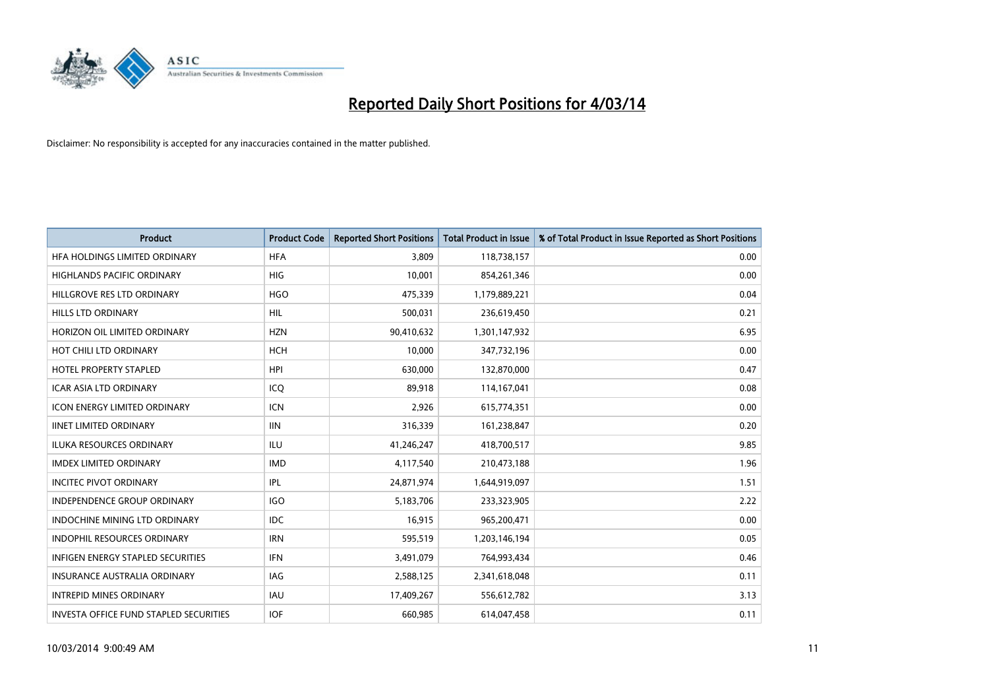

| <b>Product</b>                         | <b>Product Code</b> | <b>Reported Short Positions</b> | <b>Total Product in Issue</b> | % of Total Product in Issue Reported as Short Positions |
|----------------------------------------|---------------------|---------------------------------|-------------------------------|---------------------------------------------------------|
| HFA HOLDINGS LIMITED ORDINARY          | <b>HFA</b>          | 3,809                           | 118,738,157                   | 0.00                                                    |
| HIGHLANDS PACIFIC ORDINARY             | HIG                 | 10,001                          | 854,261,346                   | 0.00                                                    |
| HILLGROVE RES LTD ORDINARY             | <b>HGO</b>          | 475,339                         | 1,179,889,221                 | 0.04                                                    |
| HILLS LTD ORDINARY                     | HIL                 | 500,031                         | 236,619,450                   | 0.21                                                    |
| HORIZON OIL LIMITED ORDINARY           | <b>HZN</b>          | 90,410,632                      | 1,301,147,932                 | 6.95                                                    |
| HOT CHILI LTD ORDINARY                 | <b>HCH</b>          | 10,000                          | 347,732,196                   | 0.00                                                    |
| <b>HOTEL PROPERTY STAPLED</b>          | <b>HPI</b>          | 630,000                         | 132,870,000                   | 0.47                                                    |
| ICAR ASIA LTD ORDINARY                 | ICQ                 | 89,918                          | 114,167,041                   | 0.08                                                    |
| <b>ICON ENERGY LIMITED ORDINARY</b>    | <b>ICN</b>          | 2,926                           | 615,774,351                   | 0.00                                                    |
| <b>IINET LIMITED ORDINARY</b>          | <b>IIN</b>          | 316,339                         | 161,238,847                   | 0.20                                                    |
| ILUKA RESOURCES ORDINARY               | ILU                 | 41,246,247                      | 418,700,517                   | 9.85                                                    |
| <b>IMDEX LIMITED ORDINARY</b>          | <b>IMD</b>          | 4,117,540                       | 210,473,188                   | 1.96                                                    |
| <b>INCITEC PIVOT ORDINARY</b>          | IPL                 | 24,871,974                      | 1,644,919,097                 | 1.51                                                    |
| <b>INDEPENDENCE GROUP ORDINARY</b>     | <b>IGO</b>          | 5,183,706                       | 233,323,905                   | 2.22                                                    |
| <b>INDOCHINE MINING LTD ORDINARY</b>   | <b>IDC</b>          | 16,915                          | 965,200,471                   | 0.00                                                    |
| INDOPHIL RESOURCES ORDINARY            | <b>IRN</b>          | 595,519                         | 1,203,146,194                 | 0.05                                                    |
| INFIGEN ENERGY STAPLED SECURITIES      | <b>IFN</b>          | 3,491,079                       | 764,993,434                   | 0.46                                                    |
| <b>INSURANCE AUSTRALIA ORDINARY</b>    | IAG                 | 2,588,125                       | 2,341,618,048                 | 0.11                                                    |
| <b>INTREPID MINES ORDINARY</b>         | <b>IAU</b>          | 17,409,267                      | 556,612,782                   | 3.13                                                    |
| INVESTA OFFICE FUND STAPLED SECURITIES | <b>IOF</b>          | 660,985                         | 614,047,458                   | 0.11                                                    |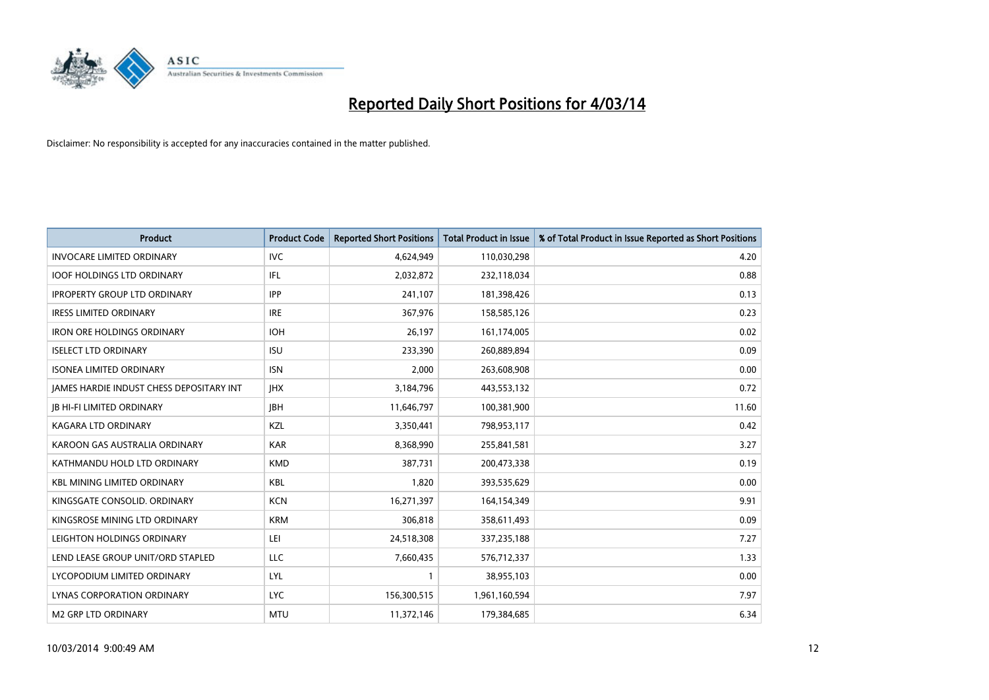

| <b>Product</b>                                  | <b>Product Code</b> | <b>Reported Short Positions</b> | <b>Total Product in Issue</b> | % of Total Product in Issue Reported as Short Positions |
|-------------------------------------------------|---------------------|---------------------------------|-------------------------------|---------------------------------------------------------|
| <b>INVOCARE LIMITED ORDINARY</b>                | <b>IVC</b>          | 4,624,949                       | 110,030,298                   | 4.20                                                    |
| <b>IOOF HOLDINGS LTD ORDINARY</b>               | IFL                 | 2,032,872                       | 232,118,034                   | 0.88                                                    |
| <b>IPROPERTY GROUP LTD ORDINARY</b>             | <b>IPP</b>          | 241,107                         | 181,398,426                   | 0.13                                                    |
| <b>IRESS LIMITED ORDINARY</b>                   | <b>IRE</b>          | 367,976                         | 158,585,126                   | 0.23                                                    |
| <b>IRON ORE HOLDINGS ORDINARY</b>               | <b>IOH</b>          | 26,197                          | 161,174,005                   | 0.02                                                    |
| <b>ISELECT LTD ORDINARY</b>                     | <b>ISU</b>          | 233,390                         | 260,889,894                   | 0.09                                                    |
| <b>ISONEA LIMITED ORDINARY</b>                  | <b>ISN</b>          | 2,000                           | 263,608,908                   | 0.00                                                    |
| <b>JAMES HARDIE INDUST CHESS DEPOSITARY INT</b> | <b>IHX</b>          | 3,184,796                       | 443,553,132                   | 0.72                                                    |
| <b>JB HI-FI LIMITED ORDINARY</b>                | <b>IBH</b>          | 11,646,797                      | 100,381,900                   | 11.60                                                   |
| <b>KAGARA LTD ORDINARY</b>                      | KZL                 | 3,350,441                       | 798,953,117                   | 0.42                                                    |
| KAROON GAS AUSTRALIA ORDINARY                   | <b>KAR</b>          | 8,368,990                       | 255,841,581                   | 3.27                                                    |
| KATHMANDU HOLD LTD ORDINARY                     | <b>KMD</b>          | 387,731                         | 200,473,338                   | 0.19                                                    |
| <b>KBL MINING LIMITED ORDINARY</b>              | <b>KBL</b>          | 1,820                           | 393,535,629                   | 0.00                                                    |
| KINGSGATE CONSOLID. ORDINARY                    | <b>KCN</b>          | 16,271,397                      | 164,154,349                   | 9.91                                                    |
| KINGSROSE MINING LTD ORDINARY                   | <b>KRM</b>          | 306,818                         | 358,611,493                   | 0.09                                                    |
| LEIGHTON HOLDINGS ORDINARY                      | LEI                 | 24,518,308                      | 337,235,188                   | 7.27                                                    |
| LEND LEASE GROUP UNIT/ORD STAPLED               | LLC                 | 7,660,435                       | 576,712,337                   | 1.33                                                    |
| LYCOPODIUM LIMITED ORDINARY                     | <b>LYL</b>          | 1                               | 38,955,103                    | 0.00                                                    |
| LYNAS CORPORATION ORDINARY                      | <b>LYC</b>          | 156,300,515                     | 1,961,160,594                 | 7.97                                                    |
| <b>M2 GRP LTD ORDINARY</b>                      | <b>MTU</b>          | 11,372,146                      | 179,384,685                   | 6.34                                                    |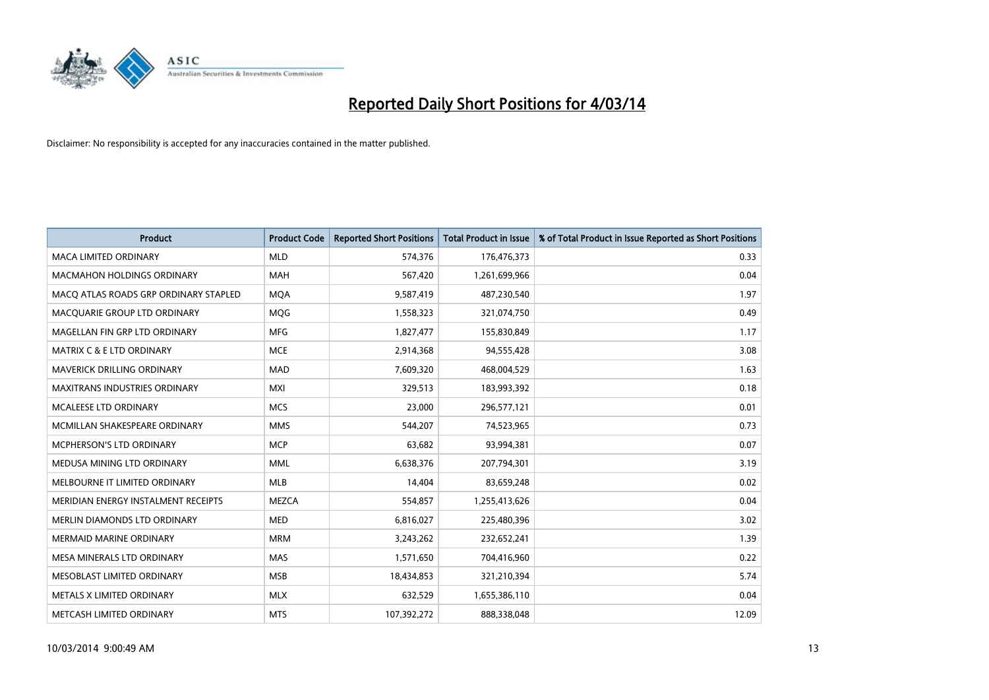

| <b>Product</b>                        | <b>Product Code</b> | <b>Reported Short Positions</b> | <b>Total Product in Issue</b> | % of Total Product in Issue Reported as Short Positions |
|---------------------------------------|---------------------|---------------------------------|-------------------------------|---------------------------------------------------------|
| <b>MACA LIMITED ORDINARY</b>          | <b>MLD</b>          | 574,376                         | 176,476,373                   | 0.33                                                    |
| <b>MACMAHON HOLDINGS ORDINARY</b>     | <b>MAH</b>          | 567,420                         | 1,261,699,966                 | 0.04                                                    |
| MACO ATLAS ROADS GRP ORDINARY STAPLED | <b>MQA</b>          | 9,587,419                       | 487,230,540                   | 1.97                                                    |
| MACQUARIE GROUP LTD ORDINARY          | <b>MOG</b>          | 1,558,323                       | 321,074,750                   | 0.49                                                    |
| MAGELLAN FIN GRP LTD ORDINARY         | <b>MFG</b>          | 1,827,477                       | 155,830,849                   | 1.17                                                    |
| <b>MATRIX C &amp; E LTD ORDINARY</b>  | <b>MCE</b>          | 2,914,368                       | 94,555,428                    | 3.08                                                    |
| MAVERICK DRILLING ORDINARY            | <b>MAD</b>          | 7,609,320                       | 468,004,529                   | 1.63                                                    |
| <b>MAXITRANS INDUSTRIES ORDINARY</b>  | <b>MXI</b>          | 329,513                         | 183,993,392                   | 0.18                                                    |
| <b>MCALEESE LTD ORDINARY</b>          | <b>MCS</b>          | 23,000                          | 296,577,121                   | 0.01                                                    |
| MCMILLAN SHAKESPEARE ORDINARY         | <b>MMS</b>          | 544,207                         | 74,523,965                    | 0.73                                                    |
| MCPHERSON'S LTD ORDINARY              | <b>MCP</b>          | 63,682                          | 93,994,381                    | 0.07                                                    |
| MEDUSA MINING LTD ORDINARY            | <b>MML</b>          | 6,638,376                       | 207,794,301                   | 3.19                                                    |
| MELBOURNE IT LIMITED ORDINARY         | <b>MLB</b>          | 14,404                          | 83,659,248                    | 0.02                                                    |
| MERIDIAN ENERGY INSTALMENT RECEIPTS   | <b>MEZCA</b>        | 554,857                         | 1,255,413,626                 | 0.04                                                    |
| MERLIN DIAMONDS LTD ORDINARY          | <b>MED</b>          | 6,816,027                       | 225,480,396                   | 3.02                                                    |
| <b>MERMAID MARINE ORDINARY</b>        | <b>MRM</b>          | 3,243,262                       | 232,652,241                   | 1.39                                                    |
| MESA MINERALS LTD ORDINARY            | <b>MAS</b>          | 1,571,650                       | 704,416,960                   | 0.22                                                    |
| MESOBLAST LIMITED ORDINARY            | <b>MSB</b>          | 18,434,853                      | 321,210,394                   | 5.74                                                    |
| METALS X LIMITED ORDINARY             | <b>MLX</b>          | 632,529                         | 1,655,386,110                 | 0.04                                                    |
| METCASH LIMITED ORDINARY              | <b>MTS</b>          | 107,392,272                     | 888,338,048                   | 12.09                                                   |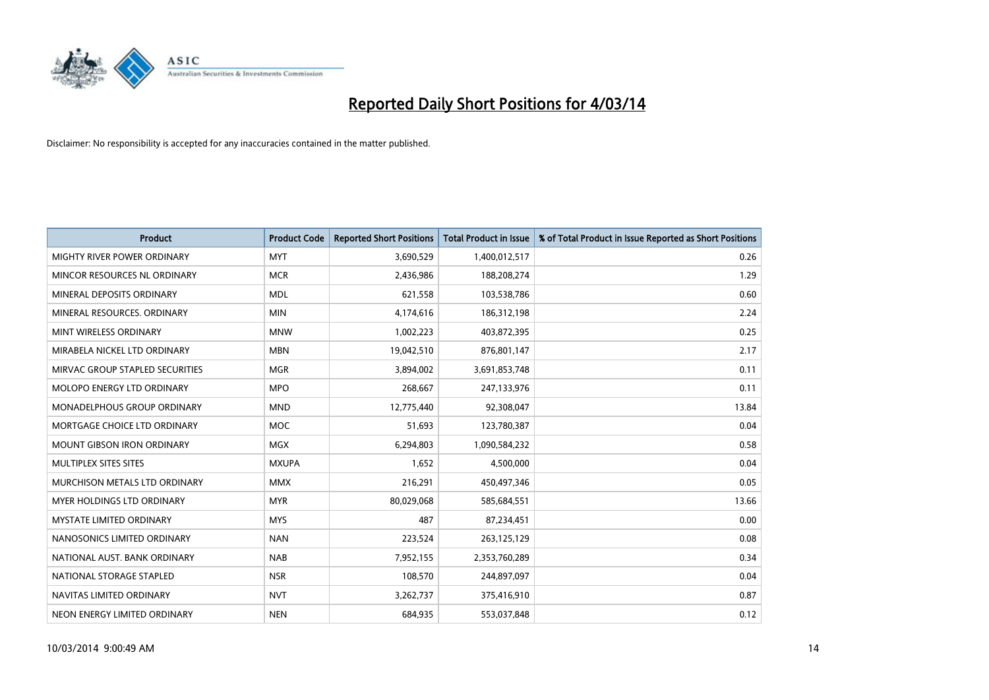

| <b>Product</b>                  | <b>Product Code</b> | <b>Reported Short Positions</b> | <b>Total Product in Issue</b> | % of Total Product in Issue Reported as Short Positions |
|---------------------------------|---------------------|---------------------------------|-------------------------------|---------------------------------------------------------|
| MIGHTY RIVER POWER ORDINARY     | <b>MYT</b>          | 3,690,529                       | 1,400,012,517                 | 0.26                                                    |
| MINCOR RESOURCES NL ORDINARY    | <b>MCR</b>          | 2,436,986                       | 188,208,274                   | 1.29                                                    |
| MINERAL DEPOSITS ORDINARY       | <b>MDL</b>          | 621,558                         | 103,538,786                   | 0.60                                                    |
| MINERAL RESOURCES. ORDINARY     | <b>MIN</b>          | 4,174,616                       | 186,312,198                   | 2.24                                                    |
| MINT WIRELESS ORDINARY          | <b>MNW</b>          | 1,002,223                       | 403,872,395                   | 0.25                                                    |
| MIRABELA NICKEL LTD ORDINARY    | <b>MBN</b>          | 19,042,510                      | 876,801,147                   | 2.17                                                    |
| MIRVAC GROUP STAPLED SECURITIES | <b>MGR</b>          | 3,894,002                       | 3,691,853,748                 | 0.11                                                    |
| MOLOPO ENERGY LTD ORDINARY      | <b>MPO</b>          | 268,667                         | 247,133,976                   | 0.11                                                    |
| MONADELPHOUS GROUP ORDINARY     | <b>MND</b>          | 12,775,440                      | 92,308,047                    | 13.84                                                   |
| MORTGAGE CHOICE LTD ORDINARY    | <b>MOC</b>          | 51,693                          | 123,780,387                   | 0.04                                                    |
| MOUNT GIBSON IRON ORDINARY      | <b>MGX</b>          | 6,294,803                       | 1,090,584,232                 | 0.58                                                    |
| MULTIPLEX SITES SITES           | <b>MXUPA</b>        | 1,652                           | 4,500,000                     | 0.04                                                    |
| MURCHISON METALS LTD ORDINARY   | <b>MMX</b>          | 216,291                         | 450,497,346                   | 0.05                                                    |
| MYER HOLDINGS LTD ORDINARY      | <b>MYR</b>          | 80,029,068                      | 585,684,551                   | 13.66                                                   |
| <b>MYSTATE LIMITED ORDINARY</b> | <b>MYS</b>          | 487                             | 87,234,451                    | 0.00                                                    |
| NANOSONICS LIMITED ORDINARY     | <b>NAN</b>          | 223,524                         | 263,125,129                   | 0.08                                                    |
| NATIONAL AUST. BANK ORDINARY    | <b>NAB</b>          | 7,952,155                       | 2,353,760,289                 | 0.34                                                    |
| NATIONAL STORAGE STAPLED        | <b>NSR</b>          | 108,570                         | 244,897,097                   | 0.04                                                    |
| NAVITAS LIMITED ORDINARY        | <b>NVT</b>          | 3,262,737                       | 375,416,910                   | 0.87                                                    |
| NEON ENERGY LIMITED ORDINARY    | <b>NEN</b>          | 684,935                         | 553,037,848                   | 0.12                                                    |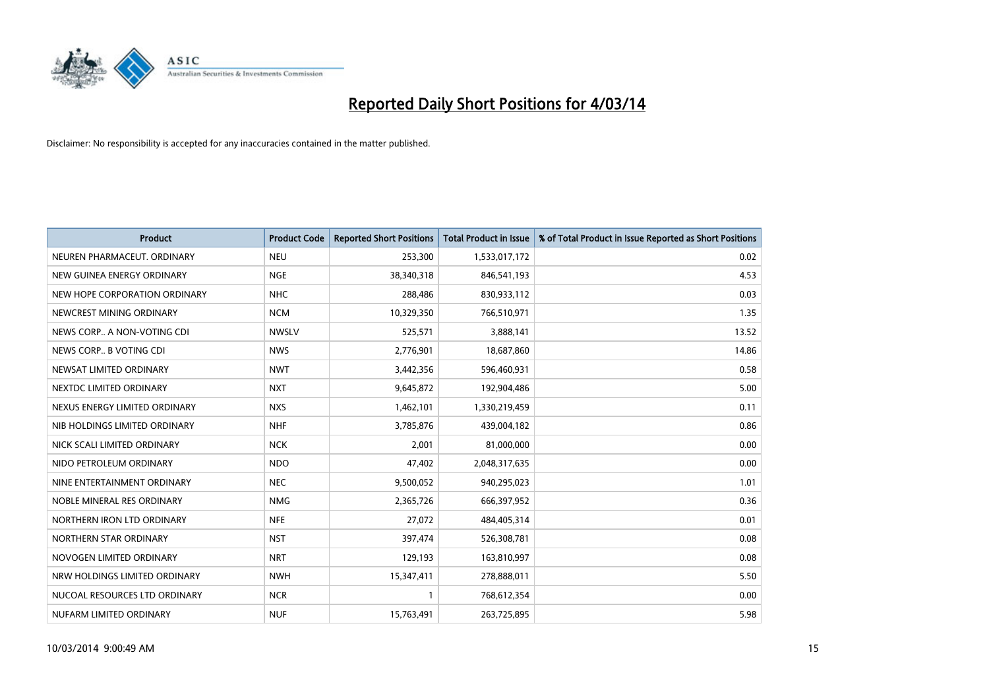

| <b>Product</b>                | <b>Product Code</b> | <b>Reported Short Positions</b> | <b>Total Product in Issue</b> | % of Total Product in Issue Reported as Short Positions |
|-------------------------------|---------------------|---------------------------------|-------------------------------|---------------------------------------------------------|
| NEUREN PHARMACEUT. ORDINARY   | <b>NEU</b>          | 253,300                         | 1,533,017,172                 | 0.02                                                    |
| NEW GUINEA ENERGY ORDINARY    | <b>NGE</b>          | 38,340,318                      | 846,541,193                   | 4.53                                                    |
| NEW HOPE CORPORATION ORDINARY | <b>NHC</b>          | 288,486                         | 830,933,112                   | 0.03                                                    |
| NEWCREST MINING ORDINARY      | <b>NCM</b>          | 10,329,350                      | 766,510,971                   | 1.35                                                    |
| NEWS CORP A NON-VOTING CDI    | <b>NWSLV</b>        | 525,571                         | 3,888,141                     | 13.52                                                   |
| NEWS CORP B VOTING CDI        | <b>NWS</b>          | 2,776,901                       | 18,687,860                    | 14.86                                                   |
| NEWSAT LIMITED ORDINARY       | <b>NWT</b>          | 3,442,356                       | 596,460,931                   | 0.58                                                    |
| NEXTDC LIMITED ORDINARY       | <b>NXT</b>          | 9,645,872                       | 192,904,486                   | 5.00                                                    |
| NEXUS ENERGY LIMITED ORDINARY | <b>NXS</b>          | 1,462,101                       | 1,330,219,459                 | 0.11                                                    |
| NIB HOLDINGS LIMITED ORDINARY | <b>NHF</b>          | 3,785,876                       | 439,004,182                   | 0.86                                                    |
| NICK SCALI LIMITED ORDINARY   | <b>NCK</b>          | 2,001                           | 81,000,000                    | 0.00                                                    |
| NIDO PETROLEUM ORDINARY       | <b>NDO</b>          | 47,402                          | 2,048,317,635                 | 0.00                                                    |
| NINE ENTERTAINMENT ORDINARY   | <b>NEC</b>          | 9,500,052                       | 940,295,023                   | 1.01                                                    |
| NOBLE MINERAL RES ORDINARY    | <b>NMG</b>          | 2,365,726                       | 666,397,952                   | 0.36                                                    |
| NORTHERN IRON LTD ORDINARY    | <b>NFE</b>          | 27,072                          | 484,405,314                   | 0.01                                                    |
| NORTHERN STAR ORDINARY        | <b>NST</b>          | 397,474                         | 526,308,781                   | 0.08                                                    |
| NOVOGEN LIMITED ORDINARY      | <b>NRT</b>          | 129,193                         | 163,810,997                   | 0.08                                                    |
| NRW HOLDINGS LIMITED ORDINARY | <b>NWH</b>          | 15,347,411                      | 278,888,011                   | 5.50                                                    |
| NUCOAL RESOURCES LTD ORDINARY | <b>NCR</b>          | $\mathbf{1}$                    | 768,612,354                   | 0.00                                                    |
| NUFARM LIMITED ORDINARY       | <b>NUF</b>          | 15,763,491                      | 263,725,895                   | 5.98                                                    |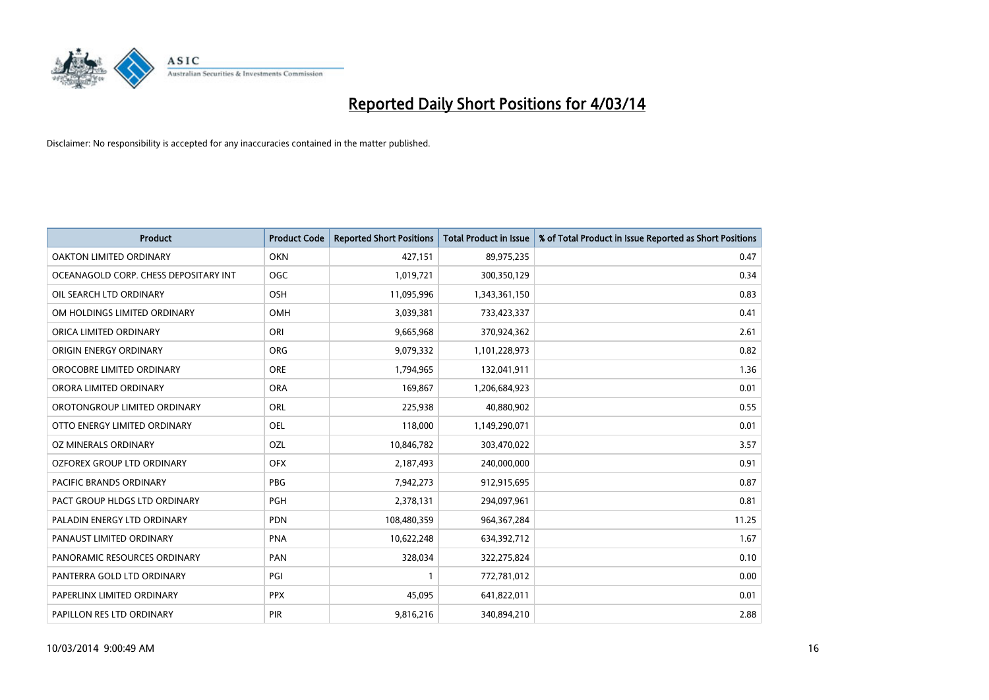

| <b>Product</b>                        | <b>Product Code</b> | <b>Reported Short Positions</b> | <b>Total Product in Issue</b> | % of Total Product in Issue Reported as Short Positions |
|---------------------------------------|---------------------|---------------------------------|-------------------------------|---------------------------------------------------------|
| <b>OAKTON LIMITED ORDINARY</b>        | <b>OKN</b>          | 427,151                         | 89,975,235                    | 0.47                                                    |
| OCEANAGOLD CORP. CHESS DEPOSITARY INT | <b>OGC</b>          | 1,019,721                       | 300,350,129                   | 0.34                                                    |
| OIL SEARCH LTD ORDINARY               | OSH                 | 11,095,996                      | 1,343,361,150                 | 0.83                                                    |
| OM HOLDINGS LIMITED ORDINARY          | OMH                 | 3,039,381                       | 733,423,337                   | 0.41                                                    |
| ORICA LIMITED ORDINARY                | ORI                 | 9,665,968                       | 370,924,362                   | 2.61                                                    |
| ORIGIN ENERGY ORDINARY                | ORG                 | 9,079,332                       | 1,101,228,973                 | 0.82                                                    |
| OROCOBRE LIMITED ORDINARY             | <b>ORE</b>          | 1,794,965                       | 132,041,911                   | 1.36                                                    |
| ORORA LIMITED ORDINARY                | <b>ORA</b>          | 169,867                         | 1,206,684,923                 | 0.01                                                    |
| OROTONGROUP LIMITED ORDINARY          | ORL                 | 225,938                         | 40,880,902                    | 0.55                                                    |
| OTTO ENERGY LIMITED ORDINARY          | <b>OEL</b>          | 118,000                         | 1,149,290,071                 | 0.01                                                    |
| OZ MINERALS ORDINARY                  | OZL                 | 10,846,782                      | 303,470,022                   | 3.57                                                    |
| OZFOREX GROUP LTD ORDINARY            | <b>OFX</b>          | 2,187,493                       | 240,000,000                   | 0.91                                                    |
| PACIFIC BRANDS ORDINARY               | <b>PBG</b>          | 7,942,273                       | 912,915,695                   | 0.87                                                    |
| PACT GROUP HLDGS LTD ORDINARY         | <b>PGH</b>          | 2,378,131                       | 294,097,961                   | 0.81                                                    |
| PALADIN ENERGY LTD ORDINARY           | <b>PDN</b>          | 108,480,359                     | 964, 367, 284                 | 11.25                                                   |
| PANAUST LIMITED ORDINARY              | <b>PNA</b>          | 10,622,248                      | 634,392,712                   | 1.67                                                    |
| PANORAMIC RESOURCES ORDINARY          | PAN                 | 328,034                         | 322,275,824                   | 0.10                                                    |
| PANTERRA GOLD LTD ORDINARY            | PGI                 | $\mathbf{1}$                    | 772,781,012                   | 0.00                                                    |
| PAPERLINX LIMITED ORDINARY            | <b>PPX</b>          | 45,095                          | 641,822,011                   | 0.01                                                    |
| PAPILLON RES LTD ORDINARY             | <b>PIR</b>          | 9,816,216                       | 340,894,210                   | 2.88                                                    |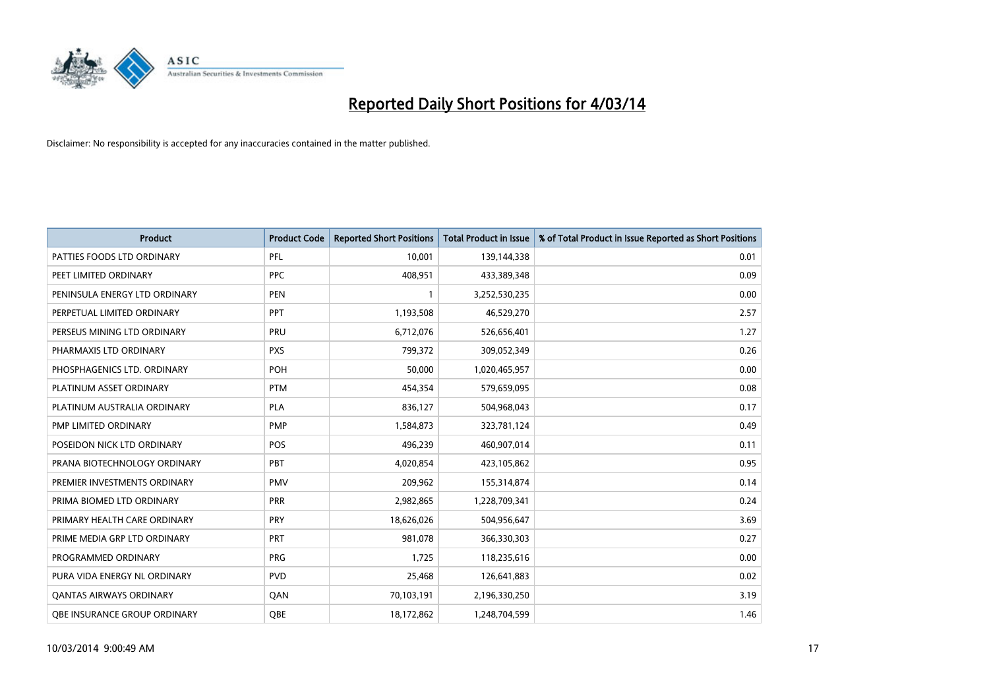

| <b>Product</b>                | <b>Product Code</b> | <b>Reported Short Positions</b> | <b>Total Product in Issue</b> | % of Total Product in Issue Reported as Short Positions |
|-------------------------------|---------------------|---------------------------------|-------------------------------|---------------------------------------------------------|
| PATTIES FOODS LTD ORDINARY    | PFL                 | 10,001                          | 139,144,338                   | 0.01                                                    |
| PEET LIMITED ORDINARY         | <b>PPC</b>          | 408,951                         | 433,389,348                   | 0.09                                                    |
| PENINSULA ENERGY LTD ORDINARY | <b>PEN</b>          | 1                               | 3,252,530,235                 | 0.00                                                    |
| PERPETUAL LIMITED ORDINARY    | <b>PPT</b>          | 1,193,508                       | 46,529,270                    | 2.57                                                    |
| PERSEUS MINING LTD ORDINARY   | PRU                 | 6,712,076                       | 526,656,401                   | 1.27                                                    |
| PHARMAXIS LTD ORDINARY        | <b>PXS</b>          | 799,372                         | 309,052,349                   | 0.26                                                    |
| PHOSPHAGENICS LTD. ORDINARY   | <b>POH</b>          | 50.000                          | 1,020,465,957                 | 0.00                                                    |
| PLATINUM ASSET ORDINARY       | <b>PTM</b>          | 454.354                         | 579,659,095                   | 0.08                                                    |
| PLATINUM AUSTRALIA ORDINARY   | <b>PLA</b>          | 836,127                         | 504,968,043                   | 0.17                                                    |
| PMP LIMITED ORDINARY          | <b>PMP</b>          | 1,584,873                       | 323,781,124                   | 0.49                                                    |
| POSEIDON NICK LTD ORDINARY    | POS                 | 496,239                         | 460,907,014                   | 0.11                                                    |
| PRANA BIOTECHNOLOGY ORDINARY  | PBT                 | 4,020,854                       | 423,105,862                   | 0.95                                                    |
| PREMIER INVESTMENTS ORDINARY  | <b>PMV</b>          | 209.962                         | 155,314,874                   | 0.14                                                    |
| PRIMA BIOMED LTD ORDINARY     | <b>PRR</b>          | 2,982,865                       | 1,228,709,341                 | 0.24                                                    |
| PRIMARY HEALTH CARE ORDINARY  | PRY                 | 18,626,026                      | 504,956,647                   | 3.69                                                    |
| PRIME MEDIA GRP LTD ORDINARY  | PRT                 | 981,078                         | 366,330,303                   | 0.27                                                    |
| PROGRAMMED ORDINARY           | <b>PRG</b>          | 1,725                           | 118,235,616                   | 0.00                                                    |
| PURA VIDA ENERGY NL ORDINARY  | <b>PVD</b>          | 25,468                          | 126,641,883                   | 0.02                                                    |
| OANTAS AIRWAYS ORDINARY       | QAN                 | 70,103,191                      | 2,196,330,250                 | 3.19                                                    |
| OBE INSURANCE GROUP ORDINARY  | <b>OBE</b>          | 18,172,862                      | 1,248,704,599                 | 1.46                                                    |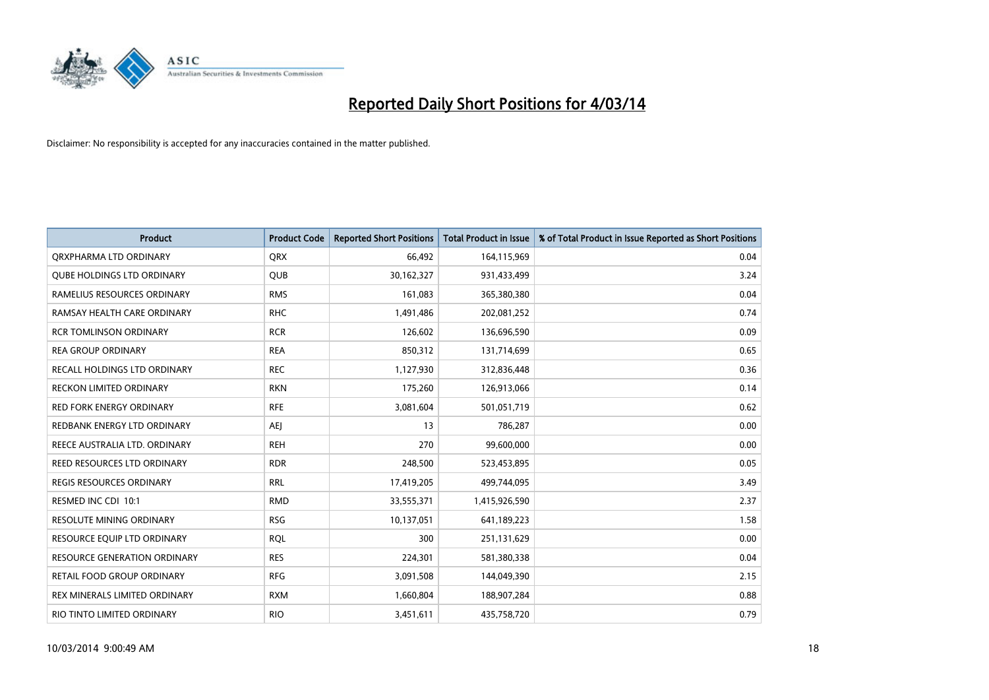

| <b>Product</b>                    | <b>Product Code</b> | <b>Reported Short Positions</b> | <b>Total Product in Issue</b> | % of Total Product in Issue Reported as Short Positions |
|-----------------------------------|---------------------|---------------------------------|-------------------------------|---------------------------------------------------------|
| ORXPHARMA LTD ORDINARY            | <b>QRX</b>          | 66,492                          | 164,115,969                   | 0.04                                                    |
| <b>QUBE HOLDINGS LTD ORDINARY</b> | QUB                 | 30,162,327                      | 931,433,499                   | 3.24                                                    |
| RAMELIUS RESOURCES ORDINARY       | <b>RMS</b>          | 161,083                         | 365,380,380                   | 0.04                                                    |
| RAMSAY HEALTH CARE ORDINARY       | <b>RHC</b>          | 1,491,486                       | 202,081,252                   | 0.74                                                    |
| <b>RCR TOMLINSON ORDINARY</b>     | <b>RCR</b>          | 126,602                         | 136,696,590                   | 0.09                                                    |
| <b>REA GROUP ORDINARY</b>         | <b>REA</b>          | 850,312                         | 131,714,699                   | 0.65                                                    |
| RECALL HOLDINGS LTD ORDINARY      | <b>REC</b>          | 1,127,930                       | 312,836,448                   | 0.36                                                    |
| RECKON LIMITED ORDINARY           | <b>RKN</b>          | 175,260                         | 126,913,066                   | 0.14                                                    |
| <b>RED FORK ENERGY ORDINARY</b>   | <b>RFE</b>          | 3,081,604                       | 501,051,719                   | 0.62                                                    |
| REDBANK ENERGY LTD ORDINARY       | AEJ                 | 13                              | 786,287                       | 0.00                                                    |
| REECE AUSTRALIA LTD. ORDINARY     | <b>REH</b>          | 270                             | 99,600,000                    | 0.00                                                    |
| REED RESOURCES LTD ORDINARY       | <b>RDR</b>          | 248,500                         | 523,453,895                   | 0.05                                                    |
| REGIS RESOURCES ORDINARY          | <b>RRL</b>          | 17,419,205                      | 499,744,095                   | 3.49                                                    |
| RESMED INC CDI 10:1               | <b>RMD</b>          | 33,555,371                      | 1,415,926,590                 | 2.37                                                    |
| <b>RESOLUTE MINING ORDINARY</b>   | <b>RSG</b>          | 10,137,051                      | 641,189,223                   | 1.58                                                    |
| RESOURCE EQUIP LTD ORDINARY       | <b>RQL</b>          | 300                             | 251,131,629                   | 0.00                                                    |
| RESOURCE GENERATION ORDINARY      | <b>RES</b>          | 224,301                         | 581,380,338                   | 0.04                                                    |
| <b>RETAIL FOOD GROUP ORDINARY</b> | <b>RFG</b>          | 3,091,508                       | 144,049,390                   | 2.15                                                    |
| REX MINERALS LIMITED ORDINARY     | <b>RXM</b>          | 1,660,804                       | 188,907,284                   | 0.88                                                    |
| RIO TINTO LIMITED ORDINARY        | <b>RIO</b>          | 3,451,611                       | 435,758,720                   | 0.79                                                    |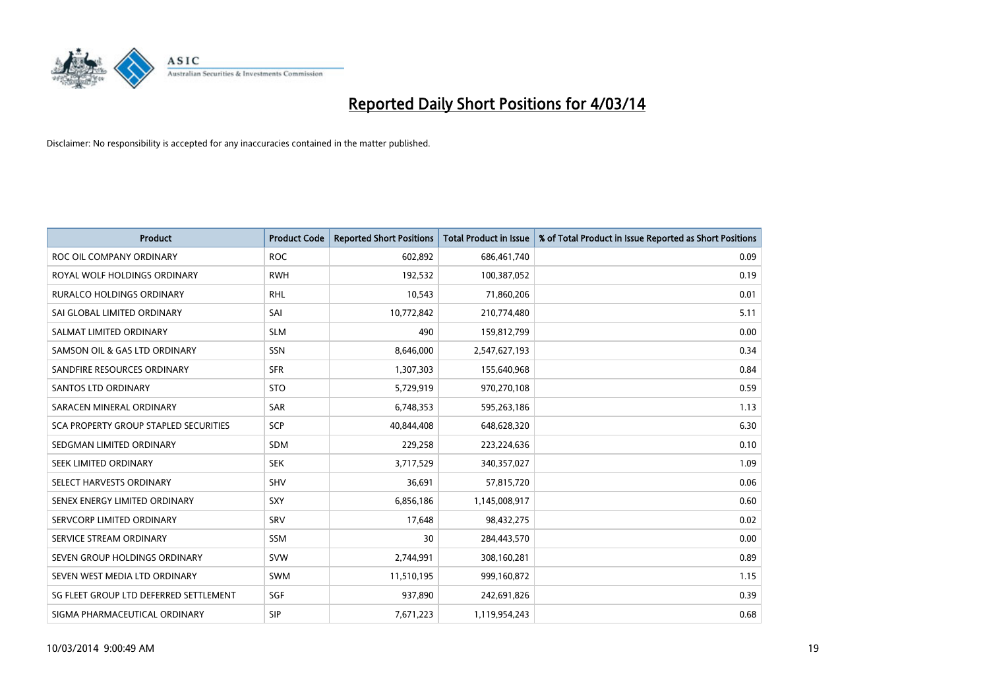

| <b>Product</b>                         | <b>Product Code</b> | <b>Reported Short Positions</b> | <b>Total Product in Issue</b> | % of Total Product in Issue Reported as Short Positions |
|----------------------------------------|---------------------|---------------------------------|-------------------------------|---------------------------------------------------------|
| ROC OIL COMPANY ORDINARY               | <b>ROC</b>          | 602,892                         | 686,461,740                   | 0.09                                                    |
| ROYAL WOLF HOLDINGS ORDINARY           | <b>RWH</b>          | 192,532                         | 100,387,052                   | 0.19                                                    |
| <b>RURALCO HOLDINGS ORDINARY</b>       | <b>RHL</b>          | 10,543                          | 71,860,206                    | 0.01                                                    |
| SAI GLOBAL LIMITED ORDINARY            | SAI                 | 10,772,842                      | 210,774,480                   | 5.11                                                    |
| SALMAT LIMITED ORDINARY                | <b>SLM</b>          | 490                             | 159,812,799                   | 0.00                                                    |
| SAMSON OIL & GAS LTD ORDINARY          | SSN                 | 8,646,000                       | 2,547,627,193                 | 0.34                                                    |
| SANDFIRE RESOURCES ORDINARY            | <b>SFR</b>          | 1,307,303                       | 155,640,968                   | 0.84                                                    |
| <b>SANTOS LTD ORDINARY</b>             | <b>STO</b>          | 5,729,919                       | 970,270,108                   | 0.59                                                    |
| SARACEN MINERAL ORDINARY               | <b>SAR</b>          | 6,748,353                       | 595,263,186                   | 1.13                                                    |
| SCA PROPERTY GROUP STAPLED SECURITIES  | SCP                 | 40,844,408                      | 648,628,320                   | 6.30                                                    |
| SEDGMAN LIMITED ORDINARY               | SDM                 | 229,258                         | 223,224,636                   | 0.10                                                    |
| SEEK LIMITED ORDINARY                  | <b>SEK</b>          | 3,717,529                       | 340,357,027                   | 1.09                                                    |
| SELECT HARVESTS ORDINARY               | <b>SHV</b>          | 36,691                          | 57,815,720                    | 0.06                                                    |
| SENEX ENERGY LIMITED ORDINARY          | <b>SXY</b>          | 6,856,186                       | 1,145,008,917                 | 0.60                                                    |
| SERVCORP LIMITED ORDINARY              | SRV                 | 17,648                          | 98,432,275                    | 0.02                                                    |
| SERVICE STREAM ORDINARY                | <b>SSM</b>          | 30                              | 284,443,570                   | 0.00                                                    |
| SEVEN GROUP HOLDINGS ORDINARY          | <b>SVW</b>          | 2,744,991                       | 308,160,281                   | 0.89                                                    |
| SEVEN WEST MEDIA LTD ORDINARY          | <b>SWM</b>          | 11,510,195                      | 999,160,872                   | 1.15                                                    |
| SG FLEET GROUP LTD DEFERRED SETTLEMENT | SGF                 | 937,890                         | 242,691,826                   | 0.39                                                    |
| SIGMA PHARMACEUTICAL ORDINARY          | <b>SIP</b>          | 7,671,223                       | 1,119,954,243                 | 0.68                                                    |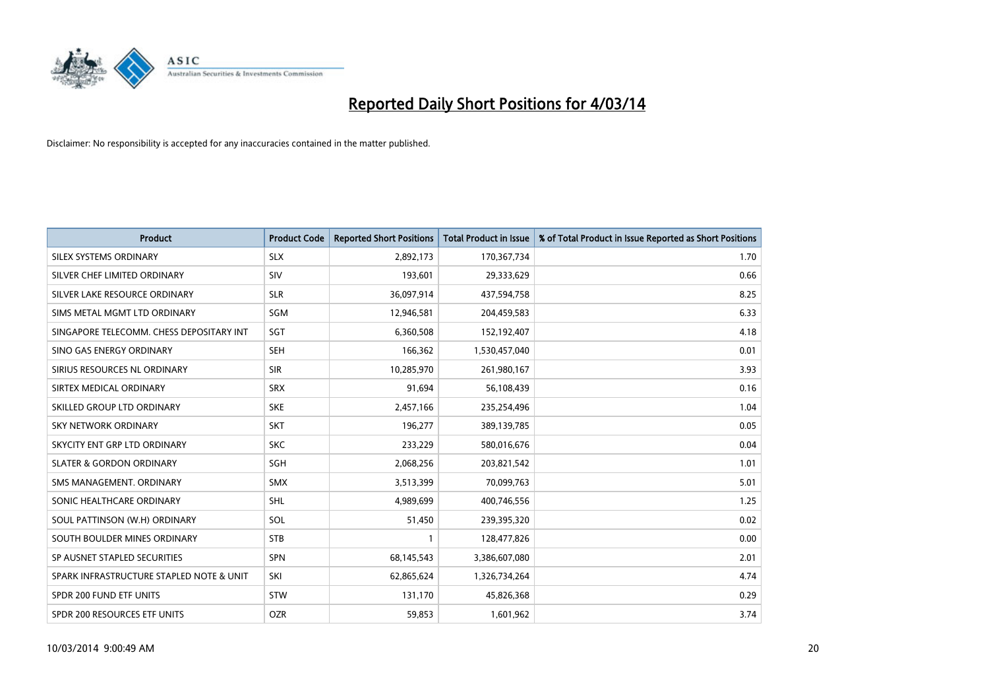

| <b>Product</b>                           | <b>Product Code</b> | <b>Reported Short Positions</b> | <b>Total Product in Issue</b> | % of Total Product in Issue Reported as Short Positions |
|------------------------------------------|---------------------|---------------------------------|-------------------------------|---------------------------------------------------------|
| SILEX SYSTEMS ORDINARY                   | <b>SLX</b>          | 2,892,173                       | 170,367,734                   | 1.70                                                    |
| SILVER CHEF LIMITED ORDINARY             | <b>SIV</b>          | 193,601                         | 29,333,629                    | 0.66                                                    |
| SILVER LAKE RESOURCE ORDINARY            | <b>SLR</b>          | 36,097,914                      | 437,594,758                   | 8.25                                                    |
| SIMS METAL MGMT LTD ORDINARY             | SGM                 | 12,946,581                      | 204,459,583                   | 6.33                                                    |
| SINGAPORE TELECOMM. CHESS DEPOSITARY INT | SGT                 | 6,360,508                       | 152,192,407                   | 4.18                                                    |
| SINO GAS ENERGY ORDINARY                 | <b>SEH</b>          | 166,362                         | 1,530,457,040                 | 0.01                                                    |
| SIRIUS RESOURCES NL ORDINARY             | <b>SIR</b>          | 10,285,970                      | 261,980,167                   | 3.93                                                    |
| SIRTEX MEDICAL ORDINARY                  | <b>SRX</b>          | 91,694                          | 56,108,439                    | 0.16                                                    |
| SKILLED GROUP LTD ORDINARY               | <b>SKE</b>          | 2,457,166                       | 235,254,496                   | 1.04                                                    |
| <b>SKY NETWORK ORDINARY</b>              | <b>SKT</b>          | 196,277                         | 389,139,785                   | 0.05                                                    |
| SKYCITY ENT GRP LTD ORDINARY             | <b>SKC</b>          | 233,229                         | 580,016,676                   | 0.04                                                    |
| <b>SLATER &amp; GORDON ORDINARY</b>      | SGH                 | 2,068,256                       | 203,821,542                   | 1.01                                                    |
| SMS MANAGEMENT. ORDINARY                 | <b>SMX</b>          | 3,513,399                       | 70,099,763                    | 5.01                                                    |
| SONIC HEALTHCARE ORDINARY                | SHL                 | 4,989,699                       | 400,746,556                   | 1.25                                                    |
| SOUL PATTINSON (W.H) ORDINARY            | SOL                 | 51,450                          | 239,395,320                   | 0.02                                                    |
| SOUTH BOULDER MINES ORDINARY             | <b>STB</b>          |                                 | 128,477,826                   | 0.00                                                    |
| SP AUSNET STAPLED SECURITIES             | <b>SPN</b>          | 68,145,543                      | 3,386,607,080                 | 2.01                                                    |
| SPARK INFRASTRUCTURE STAPLED NOTE & UNIT | SKI                 | 62,865,624                      | 1,326,734,264                 | 4.74                                                    |
| SPDR 200 FUND ETF UNITS                  | <b>STW</b>          | 131,170                         | 45,826,368                    | 0.29                                                    |
| SPDR 200 RESOURCES ETF UNITS             | <b>OZR</b>          | 59,853                          | 1,601,962                     | 3.74                                                    |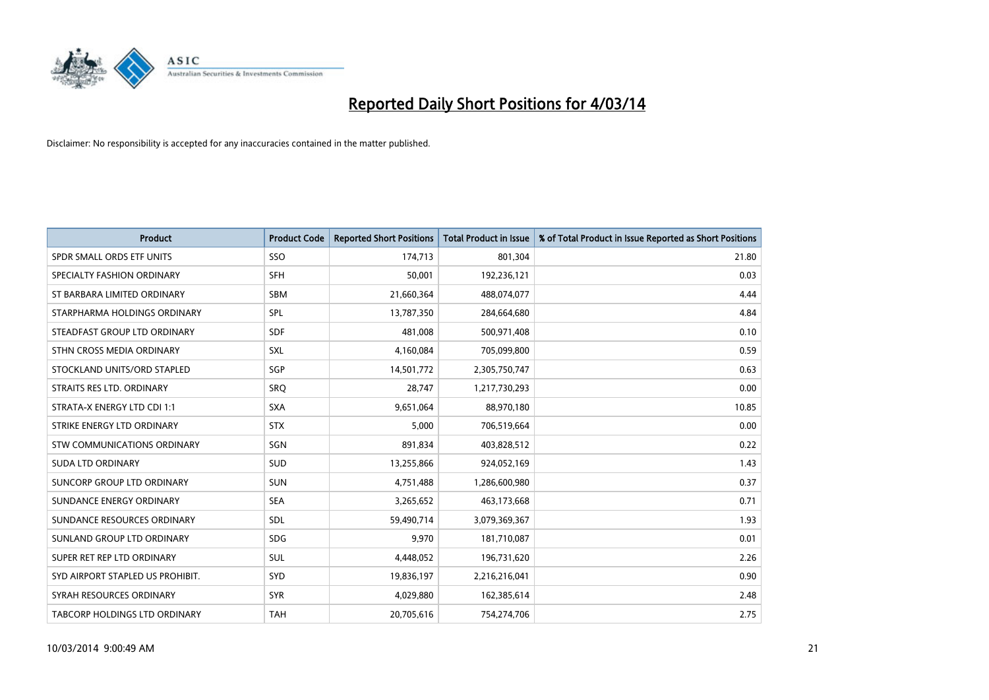

| <b>Product</b>                   | <b>Product Code</b> | <b>Reported Short Positions</b> | <b>Total Product in Issue</b> | % of Total Product in Issue Reported as Short Positions |
|----------------------------------|---------------------|---------------------------------|-------------------------------|---------------------------------------------------------|
| SPDR SMALL ORDS ETF UNITS        | SSO                 | 174,713                         | 801,304                       | 21.80                                                   |
| SPECIALTY FASHION ORDINARY       | <b>SFH</b>          | 50,001                          | 192,236,121                   | 0.03                                                    |
| ST BARBARA LIMITED ORDINARY      | <b>SBM</b>          | 21,660,364                      | 488,074,077                   | 4.44                                                    |
| STARPHARMA HOLDINGS ORDINARY     | <b>SPL</b>          | 13,787,350                      | 284,664,680                   | 4.84                                                    |
| STEADFAST GROUP LTD ORDINARY     | <b>SDF</b>          | 481,008                         | 500,971,408                   | 0.10                                                    |
| STHN CROSS MEDIA ORDINARY        | <b>SXL</b>          | 4,160,084                       | 705,099,800                   | 0.59                                                    |
| STOCKLAND UNITS/ORD STAPLED      | <b>SGP</b>          | 14,501,772                      | 2,305,750,747                 | 0.63                                                    |
| STRAITS RES LTD. ORDINARY        | SRO                 | 28,747                          | 1,217,730,293                 | 0.00                                                    |
| STRATA-X ENERGY LTD CDI 1:1      | <b>SXA</b>          | 9,651,064                       | 88,970,180                    | 10.85                                                   |
| STRIKE ENERGY LTD ORDINARY       | <b>STX</b>          | 5,000                           | 706,519,664                   | 0.00                                                    |
| STW COMMUNICATIONS ORDINARY      | SGN                 | 891,834                         | 403,828,512                   | 0.22                                                    |
| <b>SUDA LTD ORDINARY</b>         | <b>SUD</b>          | 13,255,866                      | 924,052,169                   | 1.43                                                    |
| SUNCORP GROUP LTD ORDINARY       | <b>SUN</b>          | 4,751,488                       | 1,286,600,980                 | 0.37                                                    |
| SUNDANCE ENERGY ORDINARY         | <b>SEA</b>          | 3,265,652                       | 463,173,668                   | 0.71                                                    |
| SUNDANCE RESOURCES ORDINARY      | <b>SDL</b>          | 59,490,714                      | 3,079,369,367                 | 1.93                                                    |
| SUNLAND GROUP LTD ORDINARY       | <b>SDG</b>          | 9,970                           | 181,710,087                   | 0.01                                                    |
| SUPER RET REP LTD ORDINARY       | SUL                 | 4,448,052                       | 196,731,620                   | 2.26                                                    |
| SYD AIRPORT STAPLED US PROHIBIT. | <b>SYD</b>          | 19,836,197                      | 2,216,216,041                 | 0.90                                                    |
| SYRAH RESOURCES ORDINARY         | <b>SYR</b>          | 4,029,880                       | 162,385,614                   | 2.48                                                    |
| TABCORP HOLDINGS LTD ORDINARY    | <b>TAH</b>          | 20,705,616                      | 754,274,706                   | 2.75                                                    |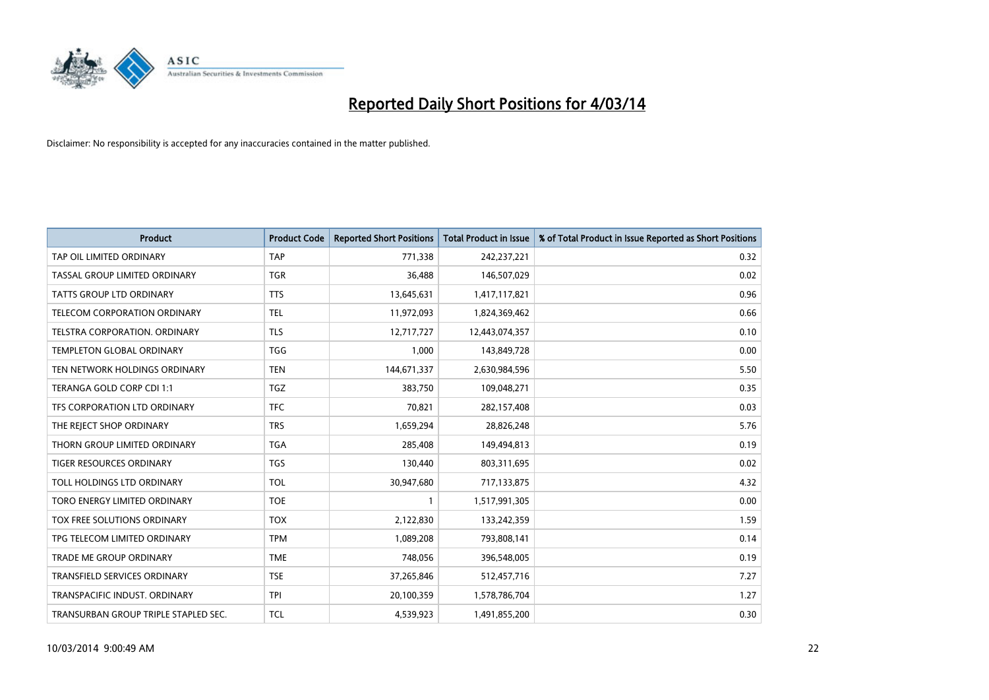

| <b>Product</b>                       | <b>Product Code</b> | <b>Reported Short Positions</b> | <b>Total Product in Issue</b> | % of Total Product in Issue Reported as Short Positions |
|--------------------------------------|---------------------|---------------------------------|-------------------------------|---------------------------------------------------------|
| TAP OIL LIMITED ORDINARY             | <b>TAP</b>          | 771,338                         | 242,237,221                   | 0.32                                                    |
| TASSAL GROUP LIMITED ORDINARY        | <b>TGR</b>          | 36.488                          | 146,507,029                   | 0.02                                                    |
| <b>TATTS GROUP LTD ORDINARY</b>      | <b>TTS</b>          | 13,645,631                      | 1,417,117,821                 | 0.96                                                    |
| TELECOM CORPORATION ORDINARY         | <b>TEL</b>          | 11,972,093                      | 1,824,369,462                 | 0.66                                                    |
| TELSTRA CORPORATION, ORDINARY        | <b>TLS</b>          | 12,717,727                      | 12,443,074,357                | 0.10                                                    |
| <b>TEMPLETON GLOBAL ORDINARY</b>     | <b>TGG</b>          | 1,000                           | 143,849,728                   | 0.00                                                    |
| TEN NETWORK HOLDINGS ORDINARY        | <b>TEN</b>          | 144.671.337                     | 2,630,984,596                 | 5.50                                                    |
| TERANGA GOLD CORP CDI 1:1            | <b>TGZ</b>          | 383,750                         | 109,048,271                   | 0.35                                                    |
| TFS CORPORATION LTD ORDINARY         | <b>TFC</b>          | 70,821                          | 282,157,408                   | 0.03                                                    |
| THE REJECT SHOP ORDINARY             | <b>TRS</b>          | 1,659,294                       | 28,826,248                    | 5.76                                                    |
| THORN GROUP LIMITED ORDINARY         | <b>TGA</b>          | 285,408                         | 149,494,813                   | 0.19                                                    |
| <b>TIGER RESOURCES ORDINARY</b>      | TGS                 | 130,440                         | 803,311,695                   | 0.02                                                    |
| TOLL HOLDINGS LTD ORDINARY           | <b>TOL</b>          | 30,947,680                      | 717,133,875                   | 4.32                                                    |
| TORO ENERGY LIMITED ORDINARY         | <b>TOE</b>          | 1                               | 1,517,991,305                 | 0.00                                                    |
| TOX FREE SOLUTIONS ORDINARY          | <b>TOX</b>          | 2,122,830                       | 133,242,359                   | 1.59                                                    |
| TPG TELECOM LIMITED ORDINARY         | <b>TPM</b>          | 1,089,208                       | 793,808,141                   | 0.14                                                    |
| <b>TRADE ME GROUP ORDINARY</b>       | <b>TME</b>          | 748,056                         | 396,548,005                   | 0.19                                                    |
| TRANSFIELD SERVICES ORDINARY         | <b>TSE</b>          | 37,265,846                      | 512,457,716                   | 7.27                                                    |
| TRANSPACIFIC INDUST, ORDINARY        | <b>TPI</b>          | 20,100,359                      | 1,578,786,704                 | 1.27                                                    |
| TRANSURBAN GROUP TRIPLE STAPLED SEC. | TCL                 | 4,539,923                       | 1,491,855,200                 | 0.30                                                    |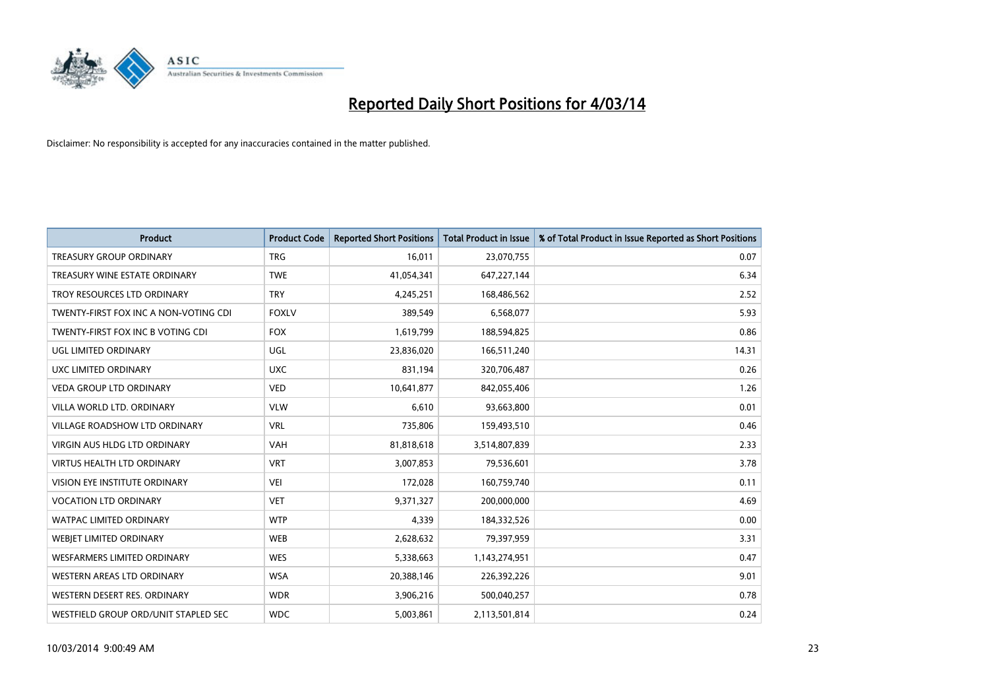

| <b>Product</b>                        | <b>Product Code</b> | <b>Reported Short Positions</b> | <b>Total Product in Issue</b> | % of Total Product in Issue Reported as Short Positions |
|---------------------------------------|---------------------|---------------------------------|-------------------------------|---------------------------------------------------------|
| <b>TREASURY GROUP ORDINARY</b>        | <b>TRG</b>          | 16,011                          | 23,070,755                    | 0.07                                                    |
| TREASURY WINE ESTATE ORDINARY         | <b>TWE</b>          | 41,054,341                      | 647,227,144                   | 6.34                                                    |
| TROY RESOURCES LTD ORDINARY           | <b>TRY</b>          | 4,245,251                       | 168,486,562                   | 2.52                                                    |
| TWENTY-FIRST FOX INC A NON-VOTING CDI | <b>FOXLV</b>        | 389,549                         | 6,568,077                     | 5.93                                                    |
| TWENTY-FIRST FOX INC B VOTING CDI     | <b>FOX</b>          | 1,619,799                       | 188,594,825                   | 0.86                                                    |
| UGL LIMITED ORDINARY                  | UGL                 | 23,836,020                      | 166,511,240                   | 14.31                                                   |
| <b>UXC LIMITED ORDINARY</b>           | <b>UXC</b>          | 831,194                         | 320,706,487                   | 0.26                                                    |
| <b>VEDA GROUP LTD ORDINARY</b>        | <b>VED</b>          | 10,641,877                      | 842,055,406                   | 1.26                                                    |
| VILLA WORLD LTD. ORDINARY             | <b>VLW</b>          | 6,610                           | 93,663,800                    | 0.01                                                    |
| VILLAGE ROADSHOW LTD ORDINARY         | <b>VRL</b>          | 735,806                         | 159,493,510                   | 0.46                                                    |
| <b>VIRGIN AUS HLDG LTD ORDINARY</b>   | <b>VAH</b>          | 81,818,618                      | 3,514,807,839                 | 2.33                                                    |
| <b>VIRTUS HEALTH LTD ORDINARY</b>     | <b>VRT</b>          | 3,007,853                       | 79,536,601                    | 3.78                                                    |
| VISION EYE INSTITUTE ORDINARY         | <b>VEI</b>          | 172,028                         | 160,759,740                   | 0.11                                                    |
| <b>VOCATION LTD ORDINARY</b>          | <b>VET</b>          | 9,371,327                       | 200,000,000                   | 4.69                                                    |
| <b>WATPAC LIMITED ORDINARY</b>        | <b>WTP</b>          | 4,339                           | 184,332,526                   | 0.00                                                    |
| WEBJET LIMITED ORDINARY               | <b>WEB</b>          | 2,628,632                       | 79,397,959                    | 3.31                                                    |
| <b>WESFARMERS LIMITED ORDINARY</b>    | <b>WES</b>          | 5,338,663                       | 1,143,274,951                 | 0.47                                                    |
| WESTERN AREAS LTD ORDINARY            | <b>WSA</b>          | 20,388,146                      | 226,392,226                   | 9.01                                                    |
| WESTERN DESERT RES. ORDINARY          | <b>WDR</b>          | 3,906,216                       | 500,040,257                   | 0.78                                                    |
| WESTFIELD GROUP ORD/UNIT STAPLED SEC  | <b>WDC</b>          | 5,003,861                       | 2,113,501,814                 | 0.24                                                    |